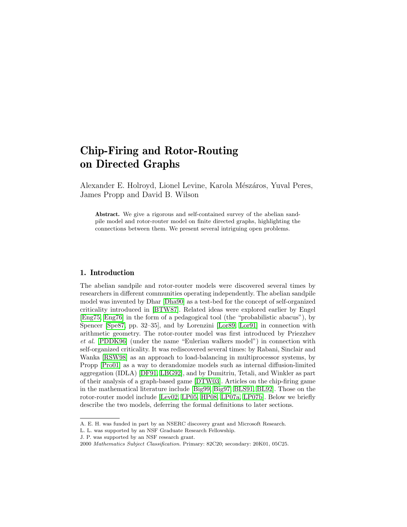# Chip-Firing and Rotor-Routing on Directed Graphs

Alexander E. Holroyd, Lionel Levine, Karola Mészáros, Yuval Peres, James Propp and David B. Wilson

Abstract. We give a rigorous and self-contained survey of the abelian sandpile model and rotor-router model on finite directed graphs, highlighting the connections between them. We present several intriguing open problems.

# 1. Introduction

The abelian sandpile and rotor-router models were discovered several times by researchers in different communities operating independently. The abelian sandpile model was invented by Dhar [\[Dha90\]](#page-31-0) as a test-bed for the concept of self-organized criticality introduced in [\[BTW87\]](#page-31-1). Related ideas were explored earlier by Engel [\[Eng75,](#page-31-2) [Eng76\]](#page-31-3) in the form of a pedagogical tool (the "probabilistic abacus"), by Spencer [\[Spe87,](#page-32-0) pp. 32–35], and by Lorenzini [\[Lor89,](#page-32-1) [Lor91\]](#page-32-2) in connection with arithmetic geometry. The rotor-router model was first introduced by Priezzhev et al. [\[PDDK96\]](#page-32-3) (under the name "Eulerian walkers model") in connection with self-organized criticality. It was rediscovered several times: by Rabani, Sinclair and Wanka [\[RSW98\]](#page-32-4) as an approach to load-balancing in multiprocessor systems, by Propp [\[Pro01\]](#page-32-5) as a way to derandomize models such as internal diffusion-limited aggregation (IDLA) [\[DF91,](#page-31-4) [LBG92\]](#page-32-6), and by Dumitriu, Tetali, and Winkler as part of their analysis of a graph-based game [\[DTW03\]](#page-31-5). Articles on the chip-firing game in the mathematical literature include [\[Big99,](#page-31-6) [Big97,](#page-31-7) [BLS91,](#page-31-8) [BL92\]](#page-31-9). Those on the rotor-router model include [\[Lev02,](#page-32-7) [LP05,](#page-32-8) [HP08,](#page-32-9) [LP07a,](#page-32-10) [LP07b\]](#page-32-11). Below we briefly describe the two models, deferring the formal definitions to later sections.

A. E. H. was funded in part by an NSERC discovery grant and Microsoft Research.

L. L. was supported by an NSF Graduate Research Fellowship.

J. P. was supported by an NSF research grant.

<sup>2000</sup> Mathematics Subject Classification. Primary: 82C20; secondary: 20K01, 05C25.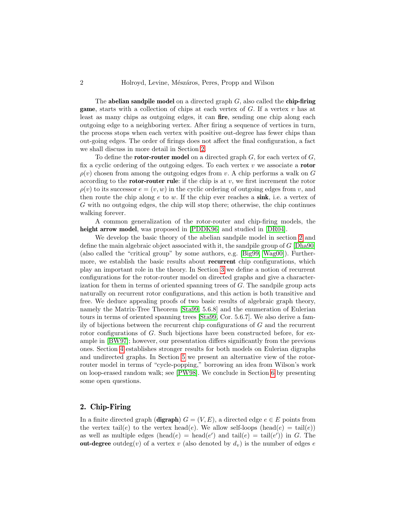The abelian sandpile model on a directed graph  $G$ , also called the chip-firing **game**, starts with a collection of chips at each vertex of  $G$ . If a vertex  $v$  has at least as many chips as outgoing edges, it can fire, sending one chip along each outgoing edge to a neighboring vertex. After firing a sequence of vertices in turn, the process stops when each vertex with positive out-degree has fewer chips than out-going edges. The order of firings does not affect the final configuration, a fact we shall discuss in more detail in Section [2.](#page-1-0)

To define the **rotor-router model** on a directed graph  $G$ , for each vertex of  $G$ , fix a cyclic ordering of the outgoing edges. To each vertex  $v$  we associate a **rotor**  $\rho(v)$  chosen from among the outgoing edges from v. A chip performs a walk on G according to the **rotor-router rule**: if the chip is at  $v$ , we first increment the rotor  $\rho(v)$  to its successor  $e = (v, w)$  in the cyclic ordering of outgoing edges from v, and then route the chip along  $e$  to  $w$ . If the chip ever reaches a sink, i.e. a vertex of G with no outgoing edges, the chip will stop there; otherwise, the chip continues walking forever.

A common generalization of the rotor-router and chip-firing models, the height arrow model, was proposed in [\[PDDK96\]](#page-32-3) and studied in [\[DR04\]](#page-31-10).

We develop the basic theory of the abelian sandpile model in section [2](#page-1-0) and define the main algebraic object associated with it, the sandpile group of G [\[Dha90\]](#page-31-0) (also called the "critical group" by some authors, e.g. [\[Big99,](#page-31-6) [Wag00\]](#page-33-0)). Furthermore, we establish the basic results about **recurrent** chip configurations, which play an important role in the theory. In Section [3](#page-10-0) we define a notion of recurrent configurations for the rotor-router model on directed graphs and give a characterization for them in terms of oriented spanning trees of G. The sandpile group acts naturally on recurrent rotor configurations, and this action is both transitive and free. We deduce appealing proofs of two basic results of algebraic graph theory, namely the Matrix-Tree Theorem [\[Sta99,](#page-33-1) 5.6.8] and the enumeration of Eulerian tours in terms of oriented spanning trees [\[Sta99,](#page-33-1) Cor. 5.6.7]. We also derive a family of bijections between the recurrent chip configurations of G and the recurrent rotor configurations of G. Such bijections have been constructed before, for example in [\[BW97\]](#page-31-11); however, our presentation differs significantly from the previous ones. Section [4](#page-20-0) establishes stronger results for both models on Eulerian digraphs and undirected graphs. In Section [5](#page-26-0) we present an alternative view of the rotorrouter model in terms of "cycle-popping," borrowing an idea from Wilson's work on loop-erased random walk; see [\[PW98\]](#page-32-12). We conclude in Section [6](#page-28-0) by presenting some open questions.

## <span id="page-1-0"></span>2. Chip-Firing

In a finite directed graph (digraph)  $G = (V, E)$ , a directed edge  $e \in E$  points from the vertex tail(e) to the vertex head(e). We allow self-loops (head(e) = tail(e)) as well as multiple edges (head( $e$ ) = head( $e'$ ) and tail( $e$ ) = tail( $e'$ )) in G. The out-degree outdeg(v) of a vertex v (also denoted by  $d_v$ ) is the number of edges e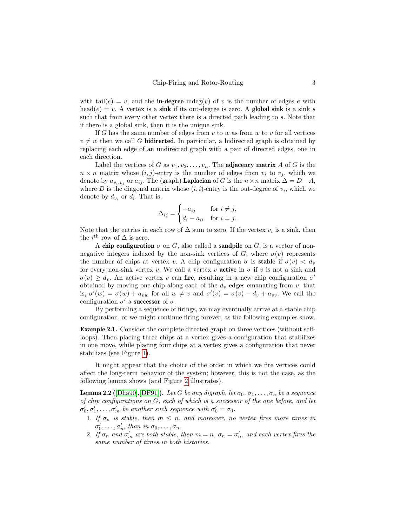with tail $(e) = v$ , and the **in-degree** indeg(v) of v is the number of edges e with head(e) = v. A vertex is a sink if its out-degree is zero. A global sink is a sink s such that from every other vertex there is a directed path leading to s. Note that if there is a global sink, then it is the unique sink.

If G has the same number of edges from  $v$  to  $w$  as from  $w$  to  $v$  for all vertices  $v \neq w$  then we call G **bidirected**. In particular, a bidirected graph is obtained by replacing each edge of an undirected graph with a pair of directed edges, one in each direction.

Label the vertices of G as  $v_1, v_2, \ldots, v_n$ . The **adjacency matrix** A of G is the  $n \times n$  matrix whose  $(i, j)$ -entry is the number of edges from  $v_i$  to  $v_j$ , which we denote by  $a_{v_i,v_j}$  or  $a_{ij}$ . The (graph) **Laplacian** of G is the  $n \times n$  matrix  $\Delta = D - A$ , where D is the diagonal matrix whose  $(i, i)$ -entry is the out-degree of  $v_i$ , which we denote by  $d_{v_i}$  or  $d_i$ . That is,

$$
\Delta_{ij} = \begin{cases}\n-a_{ij} & \text{for } i \neq j, \\
d_i - a_{ii} & \text{for } i = j.\n\end{cases}
$$

Note that the entries in each row of  $\Delta$  sum to zero. If the vertex  $v_i$  is a sink, then the  $i^{\text{th}}$  row of  $\Delta$  is zero.

A chip configuration  $\sigma$  on G, also called a sandpile on G, is a vector of nonnegative integers indexed by the non-sink vertices of G, where  $\sigma(v)$  represents the number of chips at vertex v. A chip configuration  $\sigma$  is **stable** if  $\sigma(v) < d_v$ for every non-sink vertex v. We call a vertex v **active** in  $\sigma$  if v is not a sink and  $\sigma(v) \geq d_v$ . An active vertex v can fire, resulting in a new chip configuration  $\sigma'$ obtained by moving one chip along each of the  $d_v$  edges emanating from  $v$ ; that is,  $\sigma'(w) = \sigma(w) + a_{vw}$  for all  $w \neq v$  and  $\sigma'(v) = \sigma(v) - d_v + a_{vv}$ . We call the configuration  $\sigma'$  a **successor** of  $\sigma$ .

By performing a sequence of firings, we may eventually arrive at a stable chip configuration, or we might continue firing forever, as the following examples show.

Example 2.1. Consider the complete directed graph on three vertices (without selfloops). Then placing three chips at a vertex gives a configuration that stabilizes in one move, while placing four chips at a vertex gives a configuration that never stabilizes (see Figure [1\)](#page-3-0).

It might appear that the choice of the order in which we fire vertices could affect the long-term behavior of the system; however, this is not the case, as the following lemma shows (and Figure [2](#page-3-1) illustrates).

<span id="page-2-0"></span>**Lemma 2.2** ([\[Dha90\]](#page-31-0),[\[DF91\]](#page-31-4)). Let G be any digraph, let  $\sigma_0, \sigma_1, \ldots, \sigma_n$  be a sequence of chip configurations on G, each of which is a successor of the one before, and let  $\sigma'_0, \sigma'_1, \ldots, \sigma'_m$  be another such sequence with  $\sigma'_0 = \sigma_0$ .

- 1. If  $\sigma_n$  is stable, then  $m \leq n$ , and moreover, no vertex fires more times in  $\sigma'_0, \ldots, \sigma'_m$  than in  $\sigma_0, \ldots, \sigma_n$ .
- 2. If  $\sigma_n$  and  $\sigma'_m$  are both stable, then  $m = n$ ,  $\sigma_n = \sigma'_n$ , and each vertex fires the same number of times in both histories.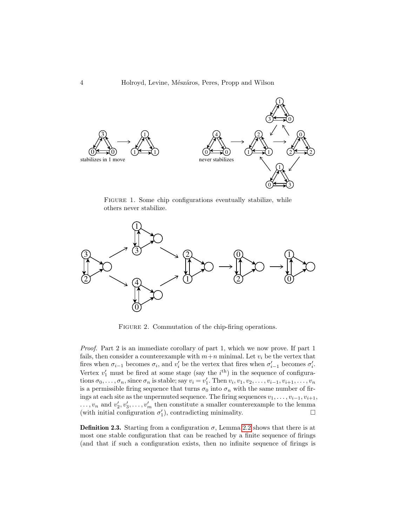

<span id="page-3-0"></span>FIGURE 1. Some chip configurations eventually stabilize, while others never stabilize.



<span id="page-3-1"></span>FIGURE 2. Commutation of the chip-firing operations.

Proof. Part 2 is an immediate corollary of part 1, which we now prove. If part 1 fails, then consider a counterexample with  $m+n$  minimal. Let  $v_i$  be the vertex that fires when  $\sigma_{i-1}$  becomes  $\sigma_i$ , and  $v'_i$  be the vertex that fires when  $\sigma'_{i-1}$  becomes  $\sigma'_i$ . Vertex  $v'_1$  must be fired at some stage (say the  $i^{\text{th}}$ ) in the sequence of configurations  $\sigma_0, \ldots, \sigma_n$ , since  $\sigma_n$  is stable; say  $v_i = v'_1$ . Then  $v_i, v_1, v_2, \ldots, v_{i-1}, v_{i+1}, \ldots, v_n$ is a permissible firing sequence that turns  $\sigma_0$  into  $\sigma_n$  with the same number of firings at each site as the unpermuted sequence. The firing sequences  $v_1, \ldots, v_{i-1}, v_{i+1}$ ,  $\dots, v_n$  and  $v'_2, v'_3, \dots, v'_m$  then constitute a smaller counterexample to the lemma (with initial configuration  $\sigma'_1$ ), contradicting minimality.  $\Box$ 

**Definition 2.3.** Starting from a configuration  $\sigma$ , Lemma [2.2](#page-2-0) shows that there is at most one stable configuration that can be reached by a finite sequence of firings (and that if such a configuration exists, then no infinite sequence of firings is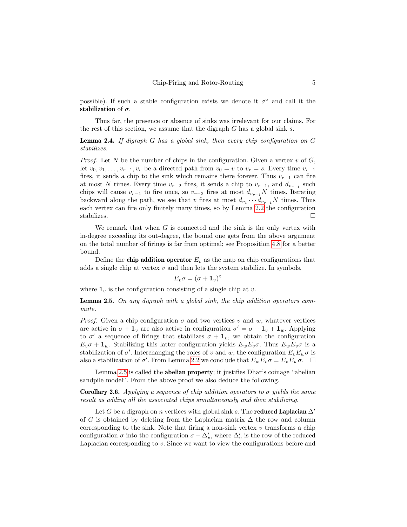possible). If such a stable configuration exists we denote it  $\sigma^{\circ}$  and call it the stabilization of  $\sigma$ .

Thus far, the presence or absence of sinks was irrelevant for our claims. For the rest of this section, we assume that the digraph  $G$  has a global sink s.

<span id="page-4-1"></span>**Lemma 2.4.** If digraph  $G$  has a global sink, then every chip configuration on  $G$ stabilizes.

*Proof.* Let N be the number of chips in the configuration. Given a vertex v of  $G$ , let  $v_0, v_1, \ldots, v_{r-1}, v_r$  be a directed path from  $v_0 = v$  to  $v_r = s$ . Every time  $v_{r-1}$ fires, it sends a chip to the sink which remains there forever. Thus  $v_{r-1}$  can fire at most N times. Every time  $v_{r-2}$  fires, it sends a chip to  $v_{r-1}$ , and  $d_{v_{r-1}}$  such chips will cause  $v_{r-1}$  to fire once, so  $v_{r-2}$  fires at most  $d_{v_{r-1}}N$  times. Iterating backward along the path, we see that v fires at most  $d_{v_1} \cdots d_{v_{r-1}}N$  times. Thus each vertex can fire only finitely many times, so by Lemma [2.2](#page-2-0) the configuration stabilizes.  $\Box$ 

We remark that when  $G$  is connected and the sink is the only vertex with in-degree exceeding its out-degree, the bound one gets from the above argument on the total number of firings is far from optimal; see Proposition [4.8](#page-24-0) for a better bound.

Define the **chip addition operator**  $E_v$  as the map on chip configurations that adds a single chip at vertex  $v$  and then lets the system stabilize. In symbols,

$$
E_v \sigma = (\sigma + \mathbf{1}_v)^\circ
$$

where  $\mathbf{1}_v$  is the configuration consisting of a single chip at v.

<span id="page-4-0"></span>**Lemma 2.5.** On any digraph with a global sink, the chip addition operators commute.

*Proof.* Given a chip configuration  $\sigma$  and two vertices v and w, whatever vertices are active in  $\sigma + \mathbf{1}_v$  are also active in configuration  $\sigma' = \sigma + \mathbf{1}_v + \mathbf{1}_w$ . Applying to  $\sigma'$  a sequence of firings that stabilizes  $\sigma + \mathbf{1}_v$ , we obtain the configuration  $E_v \sigma + \mathbf{1}_w$ . Stabilizing this latter configuration yields  $E_w E_v \sigma$ . Thus  $E_w E_v \sigma$  is a stabilization of  $\sigma'$ . Interchanging the roles of v and w, the configuration  $E_v E_w \sigma$  is also a stabilization of  $\sigma'$ . From Lemma [2.2](#page-2-0) we conclude that  $E_w E_v \sigma = E_v E_w \sigma$ .  $\Box$ 

Lemma [2.5](#page-4-0) is called the abelian property; it justifies Dhar's coinage "abelian sandpile model". From the above proof we also deduce the following.

**Corollary 2.6.** Applying a sequence of chip addition operators to  $\sigma$  yields the same result as adding all the associated chips simultaneously and then stabilizing.

Let G be a digraph on n vertices with global sink s. The **reduced Laplacian**  $\Delta'$ of G is obtained by deleting from the Laplacian matrix  $\Delta$  the row and column corresponding to the sink. Note that firing a non-sink vertex  $v$  transforms a chip configuration  $\sigma$  into the configuration  $\sigma - \Delta_v'$ , where  $\Delta_v'$  is the row of the reduced Laplacian corresponding to v. Since we want to view the configurations before and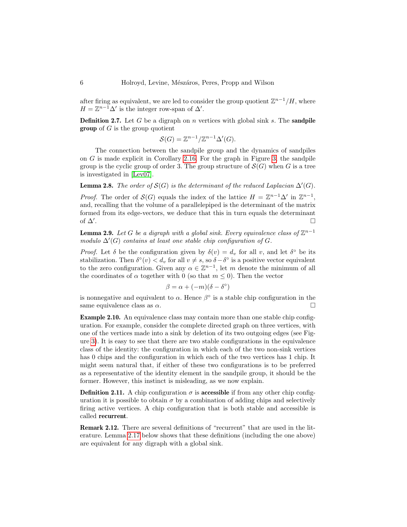after firing as equivalent, we are led to consider the group quotient  $\mathbb{Z}^{n-1}/H$ , where  $H = \mathbb{Z}^{n-1} \Delta'$  is the integer row-span of  $\Delta'$ .

**Definition 2.7.** Let G be a digraph on n vertices with global sink  $s$ . The **sandpile group** of  $G$  is the group quotient

$$
\mathcal{S}(G) = \mathbb{Z}^{n-1}/\mathbb{Z}^{n-1}\Delta'(G).
$$

The connection between the sandpile group and the dynamics of sandpiles on  $G$  is made explicit in Corollary [2.16.](#page-7-0) For the graph in Figure [3,](#page-6-0) the sandpile group is the cyclic group of order 3. The group structure of  $\mathcal{S}(G)$  when G is a tree is investigated in [\[Lev07\]](#page-32-13).

<span id="page-5-2"></span>**Lemma 2.8.** The order of  $S(G)$  is the determinant of the reduced Laplacian  $\Delta'(G)$ .

*Proof.* The order of  $S(G)$  equals the index of the lattice  $H = \mathbb{Z}^{n-1} \Delta'$  in  $\mathbb{Z}^{n-1}$ , and, recalling that the volume of a parallelepiped is the determinant of the matrix formed from its edge-vectors, we deduce that this in turn equals the determinant of  $\Delta'$ . .

<span id="page-5-1"></span>**Lemma 2.9.** Let G be a digraph with a global sink. Every equivalence class of  $\mathbb{Z}^{n-1}$ modulo  $\Delta'(G)$  contains at least one stable chip configuration of G.

Proof. Let  $\delta$  be the configuration given by  $\delta(v) = d_v$  for all v, and let  $\delta^{\circ}$  be its stabilization. Then  $\delta^{\circ}(v) < d_v$  for all  $v \neq s$ , so  $\delta - \delta^{\circ}$  is a positive vector equivalent to the zero configuration. Given any  $\alpha \in \mathbb{Z}^{n-1}$ , let m denote the minimum of all the coordinates of  $\alpha$  together with 0 (so that  $m \leq 0$ ). Then the vector

$$
\beta = \alpha + (-m)(\delta - \delta^{\circ})
$$

is nonnegative and equivalent to  $\alpha$ . Hence  $\beta^{\circ}$  is a stable chip configuration in the same equivalence class as  $\alpha$ .

<span id="page-5-0"></span>Example 2.10. An equivalence class may contain more than one stable chip configuration. For example, consider the complete directed graph on three vertices, with one of the vertices made into a sink by deletion of its two outgoing edges (see Figure [3\)](#page-6-0). It is easy to see that there are two stable configurations in the equivalence class of the identity: the configuration in which each of the two non-sink vertices has 0 chips and the configuration in which each of the two vertices has 1 chip. It might seem natural that, if either of these two configurations is to be preferred as a representative of the identity element in the sandpile group, it should be the former. However, this instinct is misleading, as we now explain.

**Definition 2.11.** A chip configuration  $\sigma$  is **accessible** if from any other chip configuration it is possible to obtain  $\sigma$  by a combination of adding chips and selectively firing active vertices. A chip configuration that is both stable and accessible is called recurrent.

Remark 2.12. There are several definitions of "recurrent" that are used in the literature. Lemma [2.17](#page-10-1) below shows that these definitions (including the one above) are equivalent for any digraph with a global sink.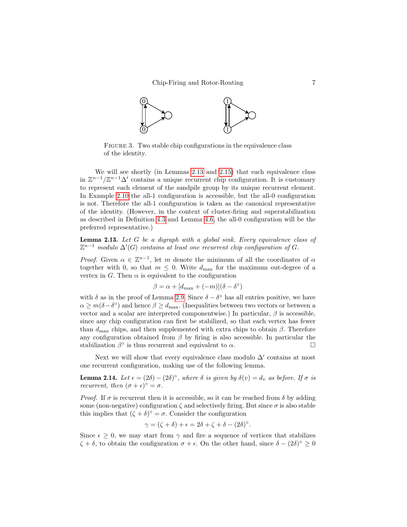

<span id="page-6-0"></span>FIGURE 3. Two stable chip configurations in the equivalence class of the identity.

We will see shortly (in Lemmas [2.13](#page-6-1) and [2.15\)](#page-7-1) that each equivalence class in  $\mathbb{Z}^{n-1}/\mathbb{Z}^{n-1}\Delta'$  contains a unique recurrent chip configuration. It is customary to represent each element of the sandpile group by its unique recurrent element. In Example [2.10](#page-5-0) the all-1 configuration is accessible, but the all-0 configuration is not. Therefore the all-1 configuration is taken as the canonical representative of the identity. (However, in the context of cluster-firing and superstabilization as described in Definition [4.3](#page-21-0) and Lemma [4.6,](#page-23-0) the all-0 configuration will be the preferred representative.)

<span id="page-6-1"></span>**Lemma 2.13.** Let  $G$  be a digraph with a global sink. Every equivalence class of  $\mathbb{Z}^{n-1}$  modulo  $\Delta'(G)$  contains at least one recurrent chip configuration of G.

*Proof.* Given  $\alpha \in \mathbb{Z}^{n-1}$ , let m denote the minimum of all the coordinates of  $\alpha$ together with 0, so that  $m \leq 0$ . Write  $d_{\text{max}}$  for the maximum out-degree of a vertex in G. Then  $\alpha$  is equivalent to the configuration

$$
\beta = \alpha + [d_{\max} + (-m)](\delta - \delta^{\circ})
$$

with  $\delta$  as in the proof of Lemma [2.9.](#page-5-1) Since  $\delta - \delta^{\circ}$  has all entries positive, we have  $\alpha \geq m(\delta - \delta^{\circ})$  and hence  $\beta \geq d_{\max}$ . (Inequalities between two vectors or between a vector and a scalar are interpreted componentwise.) In particular,  $\beta$  is accessible, since any chip configuration can first be stabilized, so that each vertex has fewer than  $d_{\text{max}}$  chips, and then supplemented with extra chips to obtain  $\beta$ . Therefore any configuration obtained from  $\beta$  by firing is also accessible. In particular the stabilization  $\beta^{\circ}$  is thus recurrent and equivalent to  $\alpha$ .

Next we will show that every equivalence class modulo  $\Delta'$  contains at most one recurrent configuration, making use of the following lemma.

<span id="page-6-2"></span>**Lemma 2.14.** Let  $\epsilon = (2\delta) - (2\delta)^\circ$ , where  $\delta$  is given by  $\delta(v) = d_v$  as before. If  $\sigma$  is *recurrent, then*  $(\sigma + \epsilon)^{\circ} = \sigma$ .

*Proof.* If  $\sigma$  is recurrent then it is accessible, so it can be reached from  $\delta$  by adding some (non-negative) configuration  $\zeta$  and selectively firing. But since  $\sigma$  is also stable this implies that  $(\zeta + \delta)^{\circ} = \sigma$ . Consider the configuration

$$
\gamma = (\zeta + \delta) + \epsilon = 2\delta + \zeta + \delta - (2\delta)^{\circ}.
$$

Since  $\epsilon \geq 0$ , we may start from  $\gamma$  and fire a sequence of vertices that stabilizes  $\zeta + \delta$ , to obtain the configuration  $\sigma + \epsilon$ . On the other hand, since  $\delta - (2\delta)^{\circ} \geq 0$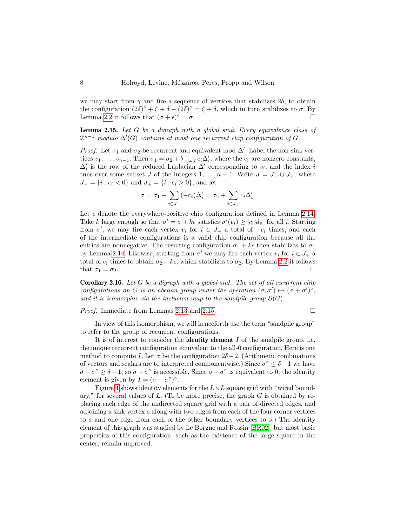we may start from  $\gamma$  and fire a sequence of vertices that stabilizes  $2\delta$ , to obtain the configuration  $(2\delta)^{\circ} + \zeta + \delta - (2\delta)^{\circ} = \zeta + \delta$ , which in turn stabilizes to  $\sigma$ . By Lemma [2.2](#page-2-0) it follows that  $(\sigma + \epsilon)^{\circ} = \sigma$ .

<span id="page-7-1"></span>**Lemma 2.15.** Let  $G$  be a digraph with a global sink. Every equivalence class of  $\mathbb{Z}^{n-1}$  modulo  $\Delta'(G)$  contains at most one recurrent chip configuration of G.

*Proof.* Let  $\sigma_1$  and  $\sigma_2$  be recurrent and equivalent mod  $\Delta'$ . Label the non-sink vertices  $v_1, \ldots, v_{n-1}$ . Then  $\sigma_1 = \sigma_2 + \sum_{i \in J} c_i \Delta'_i$ , where the  $c_i$  are nonzero constants,  $\Delta'_{i}$  is the row of the reduced Laplacian  $\Delta'$  corresponding to  $v_i$ , and the index i runs over some subset J of the integers  $1, \ldots, n-1$ . Write  $J = J_-\cup J_+$ , where  $J_ = \{i : c_i < 0\}$  and  $J_ + = \{i : c_i > 0\}$ , and let

$$
\sigma = \sigma_1 + \sum_{i \in J_-} (-c_i) \Delta'_i = \sigma_2 + \sum_{i \in J_+} c_i \Delta'_i.
$$

Let  $\epsilon$  denote the everywhere-positive chip configuration defined in Lemma [2.14.](#page-6-2) Take k large enough so that  $\sigma' = \sigma + k\epsilon$  satisfies  $\sigma'(v_i) \geq |c_i| d_{v_i}$  for all i. Starting from  $\sigma'$ , we may fire each vertex  $v_i$  for  $i \in J$  a total of  $-c_i$  times, and each of the intermediate configurations is a valid chip configuration because all the entries are nonnegative. The resulting configuration  $\sigma_1 + k\epsilon$  then stabilizes to  $\sigma_1$ by Lemma [2.14.](#page-6-2) Likewise, starting from  $\sigma'$  we may fire each vertex  $v_i$  for  $i \in J_+$  a total of  $c_i$  times to obtain  $\sigma_2 + k\epsilon$ , which stabilizes to  $\sigma_2$ . By Lemma [2.2](#page-2-0) it follows that  $\sigma_1 = \sigma_2$ .

<span id="page-7-0"></span>**Corollary 2.16.** Let G be a digraph with a global sink. The set of all recurrent chip configurations on G is an abelian group under the operation  $(\sigma, \sigma') \mapsto (\sigma + \sigma')^{\circ}$ , and it is isomorphic via the inclusion map to the sandpile group  $\mathcal{S}(G)$ .

*Proof.* Immediate from Lemmas [2.13](#page-6-1) and [2.15.](#page-7-1)

In view of this isomorphism, we will henceforth use the term "sandpile group" to refer to the group of recurrent configurations.

It is of interest to consider the **identity element**  $I$  of the sandpile group, i.e. the unique recurrent configuration equivalent to the all-0 configuration. Here is one method to compute I. Let  $\sigma$  be the configuration  $2\delta - 2$ . (Arithmetic combinations of vectors and scalars are to interpreted componentwise.) Since  $\sigma^{\circ} \leq \delta - 1$  we have  $\sigma-\sigma^{\circ} \geq \delta-1$ , so  $\sigma-\sigma^{\circ}$  is accessible. Since  $\sigma-\sigma^{\circ}$  is equivalent to 0, the identity element is given by  $I = (\sigma - \sigma^{\circ})^{\circ}$ .

Figure [4](#page-8-0) shows identity elements for the  $L \times L$  square grid with "wired boundary," for several values of  $L$ . (To be more precise, the graph  $G$  is obtained by replacing each edge of the undirected square grid with a pair of directed edges, and adjoining a sink vertex  $s$  along with two edges from each of the four corner vertices to s and one edge from each of the other boundary vertices to s.) The identity element of this graph was studied by Le Borgne and Rossin [\[BR02\]](#page-31-12), but most basic properties of this configuration, such as the existence of the large square in the center, remain unproved.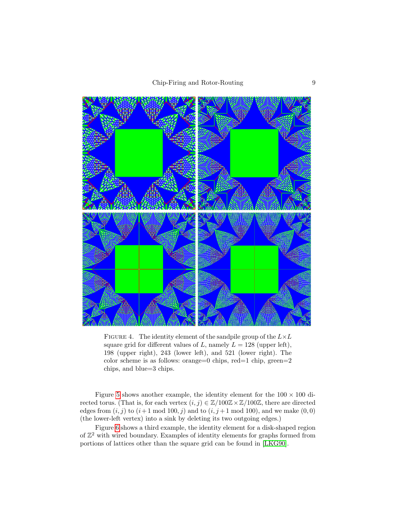

FIGURE 4. The identity element of the sandpile group of the  $L\times L$ square grid for different values of L, namely  $L = 128$  (upper left), 198 (upper right), 243 (lower left), and 521 (lower right). The color scheme is as follows: orange=0 chips, red=1 chip, green=2 chips, and blue=3 chips.

<span id="page-8-0"></span>Figure [5](#page-9-0) shows another example, the identity element for the  $100 \times 100$  directed torus. (That is, for each vertex  $(i, j) \in \mathbb{Z}/100\mathbb{Z} \times \mathbb{Z}/100\mathbb{Z}$ , there are directed edges from  $(i, j)$  to  $(i+1 \mod 100, j)$  and to  $(i, j+1 \mod 100)$ , and we make  $(0, 0)$ (the lower-left vertex) into a sink by deleting its two outgoing edges.)

Figure [6](#page-9-1) shows a third example, the identity element for a disk-shaped region of  $\mathbb{Z}^2$  with wired boundary. Examples of identity elements for graphs formed from portions of lattices other than the square grid can be found in [\[LKG90\]](#page-32-14).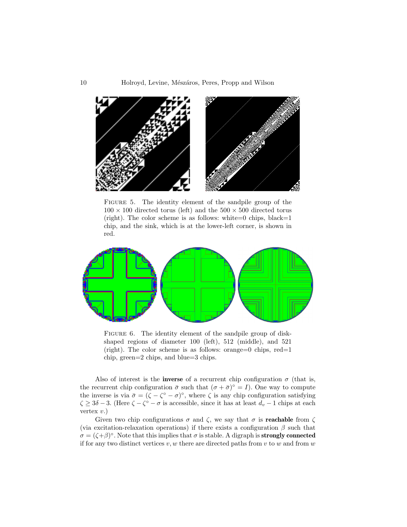

FIGURE 5. The identity element of the sandpile group of the  $100 \times 100$  directed torus (left) and the  $500 \times 500$  directed torus (right). The color scheme is as follows: white=0 chips, black=1 chip, and the sink, which is at the lower-left corner, is shown in red.

<span id="page-9-0"></span>

<span id="page-9-1"></span>FIGURE 6. The identity element of the sandpile group of diskshaped regions of diameter 100 (left), 512 (middle), and 521 (right). The color scheme is as follows: orange=0 chips,  $red=1$ chip, green=2 chips, and blue=3 chips.

Also of interest is the **inverse** of a recurrent chip configuration  $\sigma$  (that is, the recurrent chip configuration  $\bar{\sigma}$  such that  $(\sigma + \bar{\sigma})^{\circ} = I$ ). One way to compute the inverse is via  $\bar{\sigma} = (\zeta - \zeta^{\circ} - \sigma)^{\circ}$ , where  $\zeta$  is any chip configuration satisfying  $\zeta \geq 3\delta - 3$ . (Here  $\zeta - \zeta^{\circ} - \sigma$  is accessible, since it has at least  $d_v - 1$  chips at each vertex v.)

Given two chip configurations  $\sigma$  and  $\zeta$ , we say that  $\sigma$  is **reachable** from  $\zeta$ (via excitation-relaxation operations) if there exists a configuration  $\beta$  such that  $\sigma = (\zeta + \beta)^{\circ}$ . Note that this implies that  $\sigma$  is stable. A digraph is **strongly connected** if for any two distinct vertices  $v, w$  there are directed paths from v to w and from w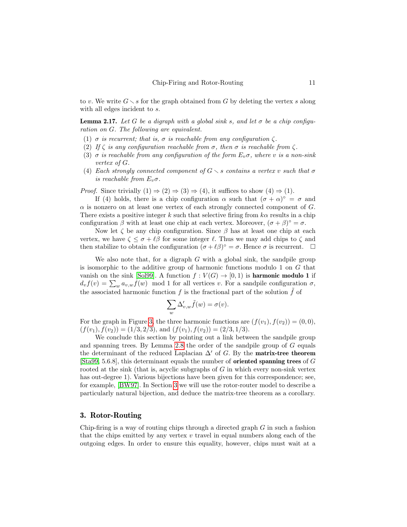to v. We write  $G \setminus s$  for the graph obtained from G by deleting the vertex s along with all edges incident to  $s$ .

<span id="page-10-1"></span>**Lemma 2.17.** Let G be a digraph with a global sink s, and let  $\sigma$  be a chip configuration on G. The following are equivalent.

- (1)  $\sigma$  is recurrent; that is,  $\sigma$  is reachable from any configuration  $\zeta$ .
- (2) If  $\zeta$  is any configuration reachable from  $\sigma$ , then  $\sigma$  is reachable from  $\zeta$ .
- (3)  $\sigma$  is reachable from any configuration of the form  $E_v \sigma$ , where v is a non-sink vertex of G.
- (4) Each strongly connected component of  $G \setminus s$  contains a vertex v such that  $\sigma$ is reachable from  $E_v \sigma$ .

*Proof.* Since trivially  $(1) \Rightarrow (2) \Rightarrow (3) \Rightarrow (4)$ , it suffices to show  $(4) \Rightarrow (1)$ .

If (4) holds, there is a chip configuration  $\alpha$  such that  $(\sigma + \alpha)^{\circ} = \sigma$  and  $\alpha$  is nonzero on at least one vertex of each strongly connected component of  $G$ . There exists a positive integer k such that selective firing from  $k\alpha$  results in a chip configuration  $\beta$  with at least one chip at each vertex. Moreover,  $(\sigma + \beta)^{\circ} = \sigma$ .

Now let  $\zeta$  be any chip configuration. Since  $\beta$  has at least one chip at each vertex, we have  $\zeta \leq \sigma + \ell \beta$  for some integer  $\ell$ . Thus we may add chips to  $\zeta$  and then stabilize to obtain the configuration  $(\sigma + \ell \beta)^{\circ} = \sigma$ . Hence  $\sigma$  is recurrent.  $\Box$ 

We also note that, for a digraph  $G$  with a global sink, the sandpile group is isomorphic to the additive group of harmonic functions modulo 1 on G that vanish on the sink [\[Sol99\]](#page-32-15). A function  $f: V(G) \to [0, 1)$  is **harmonic modulo 1** if  $d_v f(v) = \sum_w a_{v,w} f(w)$  mod 1 for all vertices v. For a sandpile configuration  $\sigma$ , the associated harmonic function f is the fractional part of the solution  $\tilde{f}$  of

$$
\sum_{w}\Delta'_{v,w}\tilde{f}(w)=\sigma(v).
$$

For the graph in Figure [3,](#page-6-0) the three harmonic functions are  $(f(v_1), f(v_2)) = (0, 0),$  $(f(v_1), f(v_2)) = (1/3, 2/3)$ , and  $(f(v_1), f(v_2)) = (2/3, 1/3)$ .

We conclude this section by pointing out a link between the sandpile group and spanning trees. By Lemma [2.8](#page-5-2) the order of the sandpile group of  $G$  equals the determinant of the reduced Laplacian  $\Delta'$  of G. By the **matrix-tree theorem** [\[Sta99,](#page-33-1) 5.6.8], this determinant equals the number of oriented spanning trees of G rooted at the sink (that is, acyclic subgraphs of  $G$  in which every non-sink vertex has out-degree 1). Various bijections have been given for this correspondence; see, for example, [\[BW97\]](#page-31-11). In Section [3](#page-10-0) we will use the rotor-router model to describe a particularly natural bijection, and deduce the matrix-tree theorem as a corollary.

# <span id="page-10-0"></span>3. Rotor-Routing

Chip-firing is a way of routing chips through a directed graph  $G$  in such a fashion that the chips emitted by any vertex  $v$  travel in equal numbers along each of the outgoing edges. In order to ensure this equality, however, chips must wait at a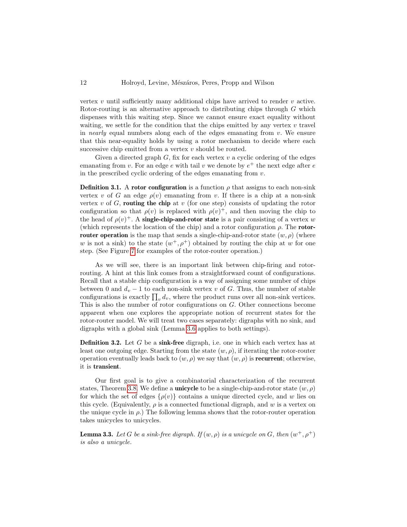vertex  $v$  until sufficiently many additional chips have arrived to render  $v$  active. Rotor-routing is an alternative approach to distributing chips through G which dispenses with this waiting step. Since we cannot ensure exact equality without waiting, we settle for the condition that the chips emitted by any vertex  $v$  travel in *nearly* equal numbers along each of the edges emanating from  $v$ . We ensure that this near-equality holds by using a rotor mechanism to decide where each successive chip emitted from a vertex v should be routed.

Given a directed graph  $G$ , fix for each vertex  $v$  a cyclic ordering of the edges emanating from v. For an edge  $e$  with tail v we denote by  $e^+$  the next edge after  $e$ in the prescribed cyclic ordering of the edges emanating from  $v$ .

**Definition 3.1.** A rotor configuration is a function  $\rho$  that assigns to each non-sink vertex v of G an edge  $\rho(v)$  emanating from v. If there is a chip at a non-sink vertex v of G, routing the chip at v (for one step) consists of updating the rotor configuration so that  $\rho(v)$  is replaced with  $\rho(v)^+$ , and then moving the chip to the head of  $\rho(v)^+$ . A single-chip-and-rotor state is a pair consisting of a vertex w (which represents the location of the chip) and a rotor configuration  $\rho$ . The **rotorrouter operation** is the map that sends a single-chip-and-rotor state  $(w, \rho)$  (where w is not a sink) to the state  $(w^+, \rho^+)$  obtained by routing the chip at w for one step. (See Figure [7](#page-14-0) for examples of the rotor-router operation.)

As we will see, there is an important link between chip-firing and rotorrouting. A hint at this link comes from a straightforward count of configurations. Recall that a stable chip configuration is a way of assigning some number of chips between 0 and  $d_v - 1$  to each non-sink vertex v of G. Thus, the number of stable configurations is exactly  $\prod_v d_v$ , where the product runs over all non-sink vertices. This is also the number of rotor configurations on G. Other connections become apparent when one explores the appropriate notion of recurrent states for the rotor-router model. We will treat two cases separately: digraphs with no sink, and digraphs with a global sink (Lemma [3.6](#page-12-0) applies to both settings).

<span id="page-11-1"></span>**Definition 3.2.** Let G be a sink-free digraph, i.e. one in which each vertex has at least one outgoing edge. Starting from the state  $(w, \rho)$ , if iterating the rotor-router operation eventually leads back to  $(w, \rho)$  we say that  $(w, \rho)$  is **recurrent**; otherwise, it is transient.

Our first goal is to give a combinatorial characterization of the recurrent states, Theorem [3.8.](#page-13-0) We define a **unicycle** to be a single-chip-and-rotor state  $(w, \rho)$ for which the set of edges  $\{\rho(v)\}$  contains a unique directed cycle, and w lies on this cycle. (Equivalently,  $\rho$  is a connected functional digraph, and w is a vertex on the unique cycle in  $\rho$ .) The following lemma shows that the rotor-router operation takes unicycles to unicycles.

<span id="page-11-0"></span>**Lemma 3.3.** Let G be a sink-free digraph. If  $(w, \rho)$  is a unicycle on G, then  $(w^+, \rho^+)$ is also a unicycle.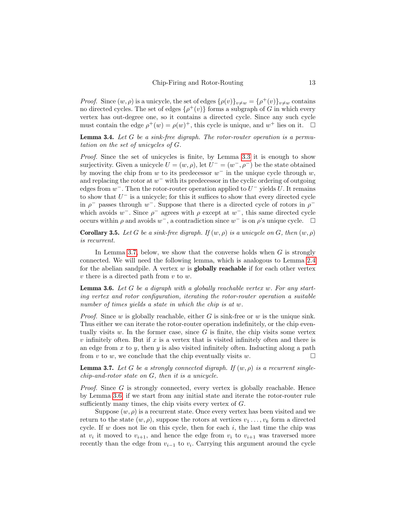*Proof.* Since  $(w, \rho)$  is a unicycle, the set of edges  $\{\rho(v)\}_{v \neq w} = {\{\rho^+(v)\}}_{v \neq w}$  contains no directed cycles. The set of edges  $\{\rho^+(v)\}\)$  forms a subgraph of G in which every vertex has out-degree one, so it contains a directed cycle. Since any such cycle must contain the edge  $\rho^+(w) = \rho(w)^+$ , this cycle is unique, and  $w^+$  lies on it.  $\square$ 

<span id="page-12-3"></span>**Lemma 3.4.** Let  $G$  be a sink-free digraph. The rotor-router operation is a permutation on the set of unicycles of G.

Proof. Since the set of unicycles is finite, by Lemma [3.3](#page-11-0) it is enough to show surjectivity. Given a unicycle  $U = (w, \rho)$ , let  $U^- = (w^-, \rho^-)$  be the state obtained by moving the chip from w to its predecessor  $w^-$  in the unique cycle through  $w$ , and replacing the rotor at  $w^-$  with its predecessor in the cyclic ordering of outgoing edges from  $w^-$ . Then the rotor-router operation applied to  $U^-$  yields U. It remains to show that  $U^-$  is a unicycle; for this it suffices to show that every directed cycle in  $\rho^-$  passes through w<sup>-</sup>. Suppose that there is a directed cycle of rotors in  $\rho^$ which avoids  $w^-$ . Since  $\rho^-$  agrees with  $\rho$  except at  $w^-$ , this same directed cycle occurs within  $\rho$  and avoids  $w^-$ , a contradiction since  $w^-$  is on  $\rho$ 's unique cycle.  $\Box$ 

<span id="page-12-2"></span>**Corollary 3.5.** Let G be a sink-free digraph. If  $(w, \rho)$  is a unicycle on G, then  $(w, \rho)$ is recurrent.

In Lemma [3.7,](#page-12-1) below, we show that the converse holds when  $G$  is strongly connected. We will need the following lemma, which is analogous to Lemma [2.4](#page-4-1) for the abelian sandpile. A vertex  $w$  is **globally reachable** if for each other vertex  $v$  there is a directed path from  $v$  to  $w$ .

<span id="page-12-0"></span>**Lemma 3.6.** Let  $G$  be a digraph with a globally reachable vertex  $w$ . For any starting vertex and rotor configuration, iterating the rotor-router operation a suitable number of times yields a state in which the chip is at w.

*Proof.* Since w is globally reachable, either G is sink-free or w is the unique sink. Thus either we can iterate the rotor-router operation indefinitely, or the chip eventually visits  $w$ . In the former case, since  $G$  is finite, the chip visits some vertex v infinitely often. But if x is a vertex that is visited infinitely often and there is an edge from  $x$  to  $y$ , then  $y$  is also visited infinitely often. Inducting along a path from v to w, we conclude that the chip eventually visits w.

<span id="page-12-1"></span>**Lemma 3.7.** Let G be a strongly connected digraph. If  $(w, \rho)$  is a recurrent singlechip-and-rotor state on G, then it is a unicycle.

Proof. Since G is strongly connected, every vertex is globally reachable. Hence by Lemma [3.6,](#page-12-0) if we start from any initial state and iterate the rotor-router rule sufficiently many times, the chip visits every vertex of G.

Suppose  $(w, \rho)$  is a recurrent state. Once every vertex has been visited and we return to the state  $(w, \rho)$ , suppose the rotors at vertices  $v_1 \ldots, v_k$  form a directed cycle. If  $w$  does not lie on this cycle, then for each  $i$ , the last time the chip was at  $v_i$  it moved to  $v_{i+1}$ , and hence the edge from  $v_i$  to  $v_{i+1}$  was traversed more recently than the edge from  $v_{i-1}$  to  $v_i$ . Carrying this argument around the cycle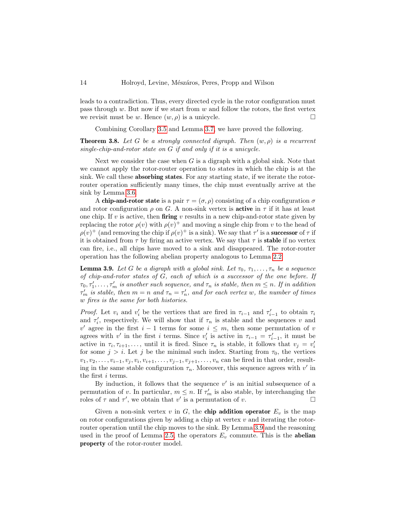leads to a contradiction. Thus, every directed cycle in the rotor configuration must pass through  $w$ . But now if we start from  $w$  and follow the rotors, the first vertex we revisit must be w. Hence  $(w, \rho)$  is a unicycle.

Combining Corollary [3.5](#page-12-2) and Lemma [3.7,](#page-12-1) we have proved the following.

<span id="page-13-0"></span>**Theorem 3.8.** Let G be a strongly connected digraph. Then  $(w, \rho)$  is a recurrent single-chip-and-rotor state on G if and only if it is a unicycle.

Next we consider the case when  $G$  is a digraph with a global sink. Note that we cannot apply the rotor-router operation to states in which the chip is at the sink. We call these absorbing states. For any starting state, if we iterate the rotorrouter operation sufficiently many times, the chip must eventually arrive at the sink by Lemma [3.6.](#page-12-0)

A chip-and-rotor state is a pair  $\tau = (\sigma, \rho)$  consisting of a chip configuration  $\sigma$ and rotor configuration  $\rho$  on G. A non-sink vertex is **active** in  $\tau$  if it has at least one chip. If v is active, then firing v results in a new chip-and-rotor state given by replacing the rotor  $\rho(v)$  with  $\rho(v)^+$  and moving a single chip from v to the head of  $\rho(v)^+$  (and removing the chip if  $\rho(v)^+$  is a sink). We say that  $\tau'$  is a **successor** of  $\tau$  if it is obtained from  $\tau$  by firing an active vertex. We say that  $\tau$  is **stable** if no vertex can fire, i.e., all chips have moved to a sink and disappeared. The rotor-router operation has the following abelian property analogous to Lemma [2.2.](#page-2-0)

<span id="page-13-1"></span>**Lemma 3.9.** Let G be a digraph with a global sink. Let  $\tau_0, \tau_1, \ldots, \tau_n$  be a sequence of chip-and-rotor states of G, each of which is a successor of the one before. If  $\tau_0, \tau'_1, \ldots, \tau'_m$  is another such sequence, and  $\tau_n$  is stable, then  $m \leq n$ . If in addition  $\tau'_m$  is stable, then  $m = n$  and  $\tau_n = \tau'_n$ , and for each vertex w, the number of times w fires is the same for both histories.

*Proof.* Let  $v_i$  and  $v'_i$  be the vertices that are fired in  $\tau_{i-1}$  and  $\tau'_{i-1}$  to obtain  $\tau_i$ and  $\tau'_i$ , respectively. We will show that if  $\tau_n$  is stable and the sequences v and v' agree in the first  $i-1$  terms for some  $i \leq m$ , then some permutation of v agrees with v' in the first i terms. Since  $v_i'$  is active in  $\tau_{i-1} = \tau_{i-1}'$ , it must be active in  $\tau_i, \tau_{i+1}, \ldots$ , until it is fired. Since  $\tau_n$  is stable, it follows that  $v_j = v'_i$ for some  $j > i$ . Let j be the minimal such index. Starting from  $\tau_0$ , the vertices  $v_1, v_2, \ldots, v_{i-1}, v_j, v_i, v_{i+1}, \ldots, v_{j-1}, v_{j+1}, \ldots, v_n$  can be fired in that order, resulting in the same stable configuration  $\tau_n$ . Moreover, this sequence agrees with v' in the first i terms.

By induction, it follows that the sequence  $v'$  is an initial subsequence of a permutation of v. In particular,  $m \leq n$ . If  $\tau'_{m}$  is also stable, by interchanging the roles of  $\tau$  and  $\tau'$ , we obtain that v' is a permutation of v.

Given a non-sink vertex v in G, the **chip addition operator**  $E_v$  is the map on rotor configurations given by adding a chip at vertex  $v$  and iterating the rotorrouter operation until the chip moves to the sink. By Lemma [3.9](#page-13-1) and the reasoning used in the proof of Lemma [2.5,](#page-4-0) the operators  $E_v$  commute. This is the abelian property of the rotor-router model.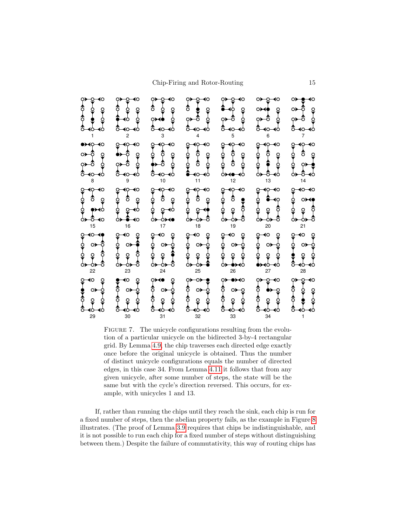

<span id="page-14-0"></span>FIGURE 7. The unicycle configurations resulting from the evolution of a particular unicycle on the bidirected 3-by-4 rectangular grid. By Lemma [4.9,](#page-24-1) the chip traverses each directed edge exactly once before the original unicycle is obtained. Thus the number of distinct unicycle configurations equals the number of directed edges, in this case 34. From Lemma [4.11](#page-25-0) it follows that from any given unicycle, after some number of steps, the state will be the same but with the cycle's direction reversed. This occurs, for example, with unicycles 1 and 13.

If, rather than running the chips until they reach the sink, each chip is run for a fixed number of steps, then the abelian property fails, as the example in Figure [8](#page-15-0) illustrates. (The proof of Lemma [3.9](#page-13-1) requires that chips be indistinguishable, and it is not possible to run each chip for a fixed number of steps without distinguishing between them.) Despite the failure of commutativity, this way of routing chips has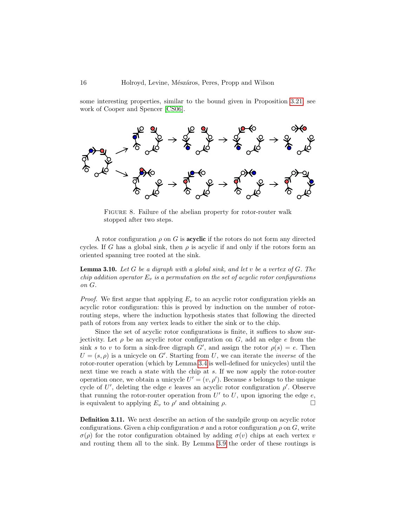some interesting properties, similar to the bound given in Proposition [3.21;](#page-19-0) see work of Cooper and Spencer [\[CS06\]](#page-31-13).



<span id="page-15-0"></span>FIGURE 8. Failure of the abelian property for rotor-router walk stopped after two steps.

A rotor configuration  $\rho$  on G is **acyclic** if the rotors do not form any directed cycles. If G has a global sink, then  $\rho$  is acyclic if and only if the rotors form an oriented spanning tree rooted at the sink.

<span id="page-15-1"></span>**Lemma 3.10.** Let G be a digraph with a global sink, and let v be a vertex of G. The chip addition operator  $E_v$  is a permutation on the set of acyclic rotor configurations on G.

*Proof.* We first argue that applying  $E_v$  to an acyclic rotor configuration yields an acyclic rotor configuration: this is proved by induction on the number of rotorrouting steps, where the induction hypothesis states that following the directed path of rotors from any vertex leads to either the sink or to the chip.

Since the set of acyclic rotor configurations is finite, it suffices to show surjectivity. Let  $\rho$  be an acyclic rotor configuration on G, add an edge e from the sink s to v to form a sink-free digraph  $G'$ , and assign the rotor  $\rho(s) = e$ . Then  $U = (s, \rho)$  is a unicycle on G'. Starting from U, we can iterate the *inverse* of the rotor-router operation (which by Lemma [3.4](#page-12-3) is well-defined for unicycles) until the next time we reach a state with the chip at s. If we now apply the rotor-router operation once, we obtain a unicycle  $U' = (v, \rho')$ . Because s belongs to the unique cycle of U', deleting the edge e leaves an acyclic rotor configuration  $\rho'$ . Observe that running the rotor-router operation from  $U'$  to  $U$ , upon ignoring the edge  $e$ , is equivalent to applying  $E_v$  to  $\rho'$  and obtaining  $\rho$ .

Definition 3.11. We next describe an action of the sandpile group on acyclic rotor configurations. Given a chip configuration  $\sigma$  and a rotor configuration  $\rho$  on  $G$ , write  $\sigma(\rho)$  for the rotor configuration obtained by adding  $\sigma(v)$  chips at each vertex v and routing them all to the sink. By Lemma [3.9](#page-13-1) the order of these routings is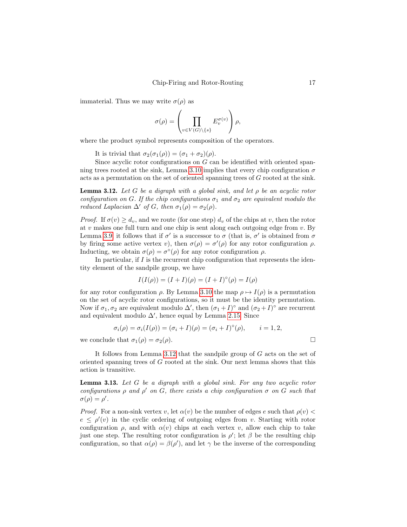immaterial. Thus we may write  $\sigma(\rho)$  as

$$
\sigma(\rho) = \left(\prod_{v \in V(G) \setminus \{s\}} E_v^{\sigma(v)}\right)\rho,
$$

where the product symbol represents composition of the operators.

It is trivial that  $\sigma_2(\sigma_1(\rho)) = (\sigma_1 + \sigma_2)(\rho)$ .

Since acyclic rotor configurations on G can be identified with oriented span-ning trees rooted at the sink, Lemma [3.10](#page-15-1) implies that every chip configuration  $\sigma$ acts as a permutation on the set of oriented spanning trees of G rooted at the sink.

<span id="page-16-0"></span>**Lemma 3.12.** Let G be a digraph with a global sink, and let  $\rho$  be an acyclic rotor configuration on G. If the chip configurations  $\sigma_1$  and  $\sigma_2$  are equivalent modulo the reduced Laplacian  $\Delta'$  of G, then  $\sigma_1(\rho) = \sigma_2(\rho)$ .

*Proof.* If  $\sigma(v) \geq d_v$ , and we route (for one step)  $d_v$  of the chips at v, then the rotor at  $v$  makes one full turn and one chip is sent along each outgoing edge from  $v$ . By Lemma [3.9,](#page-13-1) it follows that if  $\sigma'$  is a successor to  $\sigma$  (that is,  $\sigma'$  is obtained from  $\sigma$ by firing some active vertex v), then  $\sigma(\rho) = \sigma'(\rho)$  for any rotor configuration  $\rho$ . Inducting, we obtain  $\sigma(\rho) = \sigma^{\circ}(\rho)$  for any rotor configuration  $\rho$ .

In particular, if  $I$  is the recurrent chip configuration that represents the identity element of the sandpile group, we have

$$
I(I(\rho)) = (I + I)(\rho) = (I + I)^{\circ}(\rho) = I(\rho)
$$

for any rotor configuration  $\rho$ . By Lemma [3.10](#page-15-1) the map  $\rho \mapsto I(\rho)$  is a permutation on the set of acyclic rotor configurations, so it must be the identity permutation. Now if  $\sigma_1, \sigma_2$  are equivalent modulo  $\Delta'$ , then  $(\sigma_1 + I)^\circ$  and  $(\sigma_2 + I)^\circ$  are recurrent and equivalent modulo  $\Delta'$ , hence equal by Lemma [2.15.](#page-7-1) Since

$$
\sigma_i(\rho) = \sigma_i(I(\rho)) = (\sigma_i + I)(\rho) = (\sigma_i + I)^{\circ}(\rho), \qquad i = 1, 2,
$$

we conclude that  $\sigma_1(\rho) = \sigma_2(\rho)$ .

It follows from Lemma [3.12](#page-16-0) that the sandpile group of G acts on the set of oriented spanning trees of G rooted at the sink. Our next lemma shows that this action is transitive.

<span id="page-16-1"></span>**Lemma 3.13.** Let  $G$  be a digraph with a global sink. For any two acyclic rotor configurations  $\rho$  and  $\rho'$  on G, there exists a chip configuration  $\sigma$  on G such that  $\sigma(\rho) = \rho'.$ 

*Proof.* For a non-sink vertex v, let  $\alpha(v)$  be the number of edges e such that  $\rho(v)$  $e \leq \rho'(v)$  in the cyclic ordering of outgoing edges from v. Starting with rotor configuration  $\rho$ , and with  $\alpha(v)$  chips at each vertex v, allow each chip to take just one step. The resulting rotor configuration is  $\rho'$ ; let  $\beta$  be the resulting chip configuration, so that  $\alpha(\rho) = \beta(\rho')$ , and let  $\gamma$  be the inverse of the corresponding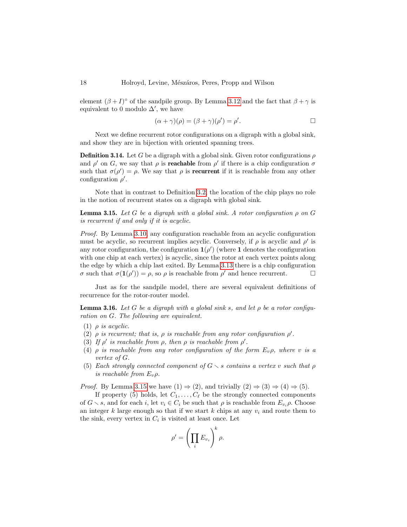element  $(\beta + I)^\circ$  of the sandpile group. By Lemma [3.12](#page-16-0) and the fact that  $\beta + \gamma$  is equivalent to 0 modulo  $\Delta'$ , we have

$$
(\alpha + \gamma)(\rho) = (\beta + \gamma)(\rho') = \rho'.
$$

Next we define recurrent rotor configurations on a digraph with a global sink, and show they are in bijection with oriented spanning trees.

**Definition 3.14.** Let G be a digraph with a global sink. Given rotor configurations  $\rho$ and  $\rho'$  on G, we say that  $\rho$  is **reachable** from  $\rho'$  if there is a chip configuration  $\sigma$ such that  $\sigma(\rho') = \rho$ . We say that  $\rho$  is **recurrent** if it is reachable from any other configuration  $\rho'$ .

Note that in contrast to Definition [3.2,](#page-11-1) the location of the chip plays no role in the notion of recurrent states on a digraph with global sink.

<span id="page-17-0"></span>**Lemma 3.15.** Let G be a digraph with a global sink. A rotor configuration  $\rho$  on G is recurrent if and only if it is acyclic.

Proof. By Lemma [3.10,](#page-15-1) any configuration reachable from an acyclic configuration must be acyclic, so recurrent implies acyclic. Conversely, if  $\rho$  is acyclic and  $\rho'$  is any rotor configuration, the configuration  $1(\rho')$  (where 1 denotes the configuration with one chip at each vertex) is acyclic, since the rotor at each vertex points along the edge by which a chip last exited. By Lemma [3.13](#page-16-1) there is a chip configuration  $\sigma$  such that  $\sigma(\mathbf{1}(\rho')) = \rho$ , so  $\rho$  is reachable from  $\rho'$  and hence recurrent.

Just as for the sandpile model, there are several equivalent definitions of recurrence for the rotor-router model.

**Lemma 3.16.** Let G be a digraph with a global sink s, and let  $\rho$  be a rotor configuration on G. The following are equivalent.

- (1)  $\rho$  is acyclic.
- (2)  $\rho$  is recurrent; that is,  $\rho$  is reachable from any rotor configuration  $\rho'$ .
- (3) If  $\rho'$  is reachable from  $\rho$ , then  $\rho$  is reachable from  $\rho'$ .
- (4)  $\rho$  is reachable from any rotor configuration of the form  $E_v \rho$ , where v is a vertex of G.
- (5) Each strongly connected component of  $G \setminus s$  contains a vertex v such that  $\rho$ is reachable from  $E_v \rho$ .

*Proof.* By Lemma [3.15](#page-17-0) we have  $(1) \Rightarrow (2)$ , and trivially  $(2) \Rightarrow (3) \Rightarrow (4) \Rightarrow (5)$ .

If property (5) holds, let  $C_1, \ldots, C_\ell$  be the strongly connected components of  $G \setminus s$ , and for each i, let  $v_i \in C_i$  be such that  $\rho$  is reachable from  $E_{v_i} \rho$ . Choose an integer k large enough so that if we start k chips at any  $v_i$  and route them to the sink, every vertex in  $C_i$  is visited at least once. Let

$$
\rho' = \left(\prod_i E_{v_i}\right)^k \rho.
$$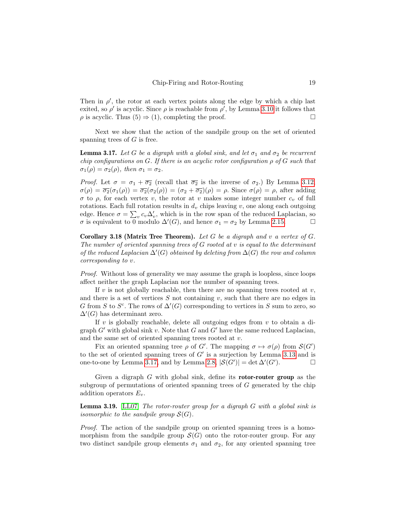Then in  $\rho'$ , the rotor at each vertex points along the edge by which a chip last exited, so  $\rho'$  is acyclic. Since  $\rho$  is reachable from  $\rho'$ , by Lemma [3.10](#page-15-1) it follows that  $\rho$  is acyclic. Thus  $(5) \Rightarrow (1)$ , completing the proof.

Next we show that the action of the sandpile group on the set of oriented spanning trees of  $G$  is free.

<span id="page-18-0"></span>**Lemma 3.17.** Let G be a digraph with a global sink, and let  $\sigma_1$  and  $\sigma_2$  be recurrent chip configurations on G. If there is an acyclic rotor configuration  $\rho$  of G such that  $\sigma_1(\rho) = \sigma_2(\rho)$ , then  $\sigma_1 = \sigma_2$ .

*Proof.* Let  $\sigma = \sigma_1 + \overline{\sigma_2}$  (recall that  $\overline{\sigma_2}$  is the inverse of  $\sigma_2$ .) By Lemma [3.12,](#page-16-0)  $\sigma(\rho) = \overline{\sigma_2}(\sigma_1(\rho)) = \overline{\sigma_2}(\sigma_2(\rho)) = (\sigma_2 + \overline{\sigma_2})(\rho) = \rho$ . Since  $\sigma(\rho) = \rho$ , after adding σ to ρ, for each vertex v, the rotor at v makes some integer number  $c<sub>v</sub>$  of full rotations. Each full rotation results in  $d_v$  chips leaving  $v$ , one along each outgoing edge. Hence  $\sigma = \sum_{v} c_v \Delta_v'$ , which is in the row span of the reduced Laplacian, so  $\sigma$  is equivalent to 0 modulo  $\Delta'(G)$ , and hence  $\sigma_1 = \sigma_2$  by Lemma [2.15.](#page-7-1)

**Corollary 3.18 (Matrix Tree Theorem).** Let G be a digraph and v a vertex of  $G$ . The number of oriented spanning trees of  $G$  rooted at  $v$  is equal to the determinant of the reduced Laplacian  $\Delta'(G)$  obtained by deleting from  $\Delta(G)$  the row and column corresponding to v.

Proof. Without loss of generality we may assume the graph is loopless, since loops affect neither the graph Laplacian nor the number of spanning trees.

If v is not globally reachable, then there are no spanning trees rooted at  $v$ , and there is a set of vertices  $S$  not containing  $v$ , such that there are no edges in G from S to  $S^c$ . The rows of  $\Delta'(G)$  corresponding to vertices in S sum to zero, so  $\Delta'(G)$  has determinant zero.

If  $v$  is globally reachable, delete all outgoing edges from  $v$  to obtain a digraph  $G'$  with global sink v. Note that G and G' have the same reduced Laplacian, and the same set of oriented spanning trees rooted at v.

Fix an oriented spanning tree  $\rho$  of G'. The mapping  $\sigma \mapsto \sigma(\rho)$  from  $\mathcal{S}(G')$ to the set of oriented spanning trees of  $G'$  is a surjection by Lemma [3.13](#page-16-1) and is one-to-one by Lemma [3.17,](#page-18-0) and by Lemma [2.8,](#page-5-2)  $|S(G')| = \det \Delta'(G')$  $\Box$ 

Given a digraph  $G$  with global sink, define its **rotor-router group** as the subgroup of permutations of oriented spanning trees of G generated by the chip addition operators  $E_v$ .

**Lemma 3.19.** [\[LL07\]](#page-32-16) The rotor-router group for a digraph  $G$  with a global sink is isomorphic to the sandpile group  $\mathcal{S}(G)$ .

Proof. The action of the sandpile group on oriented spanning trees is a homomorphism from the sandpile group  $\mathcal{S}(G)$  onto the rotor-router group. For any two distinct sandpile group elements  $\sigma_1$  and  $\sigma_2$ , for any oriented spanning tree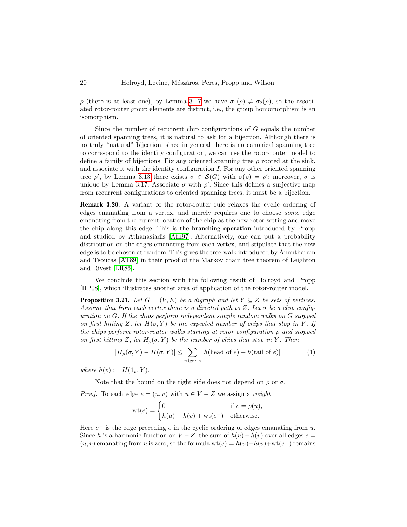ρ (there is at least one), by Lemma [3.17](#page-18-0) we have  $\sigma_1(\rho) \neq \sigma_2(\rho)$ , so the associated rotor-router group elements are distinct, i.e., the group homomorphism is an isomorphism.

Since the number of recurrent chip configurations of G equals the number of oriented spanning trees, it is natural to ask for a bijection. Although there is no truly "natural" bijection, since in general there is no canonical spanning tree to correspond to the identity configuration, we can use the rotor-router model to define a family of bijections. Fix any oriented spanning tree  $\rho$  rooted at the sink, and associate it with the identity configuration  $I$ . For any other oriented spanning tree  $\rho'$ , by Lemma [3.13](#page-16-1) there exists  $\sigma \in \mathcal{S}(G)$  with  $\sigma(\rho) = \rho'$ ; moreover,  $\sigma$  is unique by Lemma [3.17.](#page-18-0) Associate  $\sigma$  with  $\rho'$ . Since this defines a surjective map from recurrent configurations to oriented spanning trees, it must be a bijection.

Remark 3.20. A variant of the rotor-router rule relaxes the cyclic ordering of edges emanating from a vertex, and merely requires one to choose some edge emanating from the current location of the chip as the new rotor-setting and move the chip along this edge. This is the branching operation introduced by Propp and studied by Athanasiadis [\[Ath97\]](#page-30-0). Alternatively, one can put a probability distribution on the edges emanating from each vertex, and stipulate that the new edge is to be chosen at random. This gives the tree-walk introduced by Anantharam and Tsoucas [\[AT89\]](#page-30-1) in their proof of the Markov chain tree theorem of Leighton and Rivest [\[LR86\]](#page-32-17).

We conclude this section with the following result of Holroyd and Propp [\[HP08\]](#page-32-9), which illustrates another area of application of the rotor-router model.

<span id="page-19-0"></span>**Proposition 3.21.** Let  $G = (V, E)$  be a digraph and let  $Y \subseteq Z$  be sets of vertices. Assume that from each vertex there is a directed path to Z. Let  $\sigma$  be a chip configuration on G. If the chips perform independent simple random walks on G stopped on first hitting Z, let  $H(\sigma, Y)$  be the expected number of chips that stop in Y. If the chips perform rotor-router walks starting at rotor configuration  $\rho$  and stopped on first hitting Z, let  $H_{\rho}(\sigma, Y)$  be the number of chips that stop in Y. Then

<span id="page-19-1"></span>
$$
|H_{\rho}(\sigma, Y) - H(\sigma, Y)| \le \sum_{\text{edges } e} |h(\text{head of } e) - h(\text{tail of } e)| \tag{1}
$$

where  $h(v) := H(1_v, Y)$ .

Note that the bound on the right side does not depend on  $\rho$  or  $\sigma$ .

*Proof.* To each edge  $e = (u, v)$  with  $u \in V - Z$  we assign a weight

$$
\text{wt}(e) = \begin{cases} 0 & \text{if } e = \rho(u), \\ h(u) - h(v) + \text{wt}(e^-) & \text{otherwise.} \end{cases}
$$

Here  $e^-$  is the edge preceding  $e$  in the cyclic ordering of edges emanating from  $u$ . Since h is a harmonic function on  $V - Z$ , the sum of  $h(u) - h(v)$  over all edges  $e =$  $(u, v)$  emanating from u is zero, so the formula wt $(e) = h(u) - h(v) + \text{wt}(e^{-})$  remains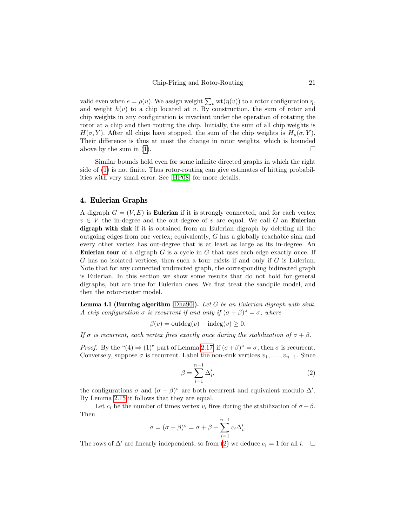valid even when  $e = \rho(u)$ . We assign weight  $\sum_{v} \text{wt}(\eta(v))$  to a rotor configuration  $\eta$ , and weight  $h(v)$  to a chip located at v. By construction, the sum of rotor and chip weights in any configuration is invariant under the operation of rotating the rotor at a chip and then routing the chip. Initially, the sum of all chip weights is  $H(\sigma, Y)$ . After all chips have stopped, the sum of the chip weights is  $H_o(\sigma, Y)$ . Their difference is thus at most the change in rotor weights, which is bounded above by the sum in [\(1\)](#page-19-1).

Similar bounds hold even for some infinite directed graphs in which the right side of [\(1\)](#page-19-1) is not finite. Thus rotor-routing can give estimates of hitting probabilities with very small error. See [\[HP08\]](#page-32-9) for more details.

#### <span id="page-20-0"></span>4. Eulerian Graphs

A digraph  $G = (V, E)$  is **Eulerian** if it is strongly connected, and for each vertex  $v \in V$  the in-degree and the out-degree of v are equal. We call G an Eulerian digraph with sink if it is obtained from an Eulerian digraph by deleting all the outgoing edges from one vertex; equivalently, G has a globally reachable sink and every other vertex has out-degree that is at least as large as its in-degree. An **Eulerian tour** of a digraph  $G$  is a cycle in  $G$  that uses each edge exactly once. If G has no isolated vertices, then such a tour exists if and only if G is Eulerian. Note that for any connected undirected graph, the corresponding bidirected graph is Eulerian. In this section we show some results that do not hold for general digraphs, but are true for Eulerian ones. We first treat the sandpile model, and then the rotor-router model.

<span id="page-20-2"></span>**Lemma 4.1 (Burning algorithm** [\[Dha90\]](#page-31-0)). Let G be an Eulerian digraph with sink. A chip configuration  $\sigma$  is recurrent if and only if  $(\sigma + \beta)^{\circ} = \sigma$ , where

$$
\beta(v) = \text{outdeg}(v) - \text{indeg}(v) \ge 0.
$$

If  $\sigma$  is recurrent, each vertex fires exactly once during the stabilization of  $\sigma + \beta$ .

*Proof.* By the " $(4) \Rightarrow (1)$ " part of Lemma [2.17,](#page-10-1) if  $(\sigma + \beta)^{\circ} = \sigma$ , then  $\sigma$  is recurrent. Conversely, suppose  $\sigma$  is recurrent. Label the non-sink vertices  $v_1, \ldots, v_{n-1}$ . Since

<span id="page-20-1"></span>
$$
\beta = \sum_{i=1}^{n-1} \Delta'_i,\tag{2}
$$

the configurations  $\sigma$  and  $(\sigma + \beta)^\circ$  are both recurrent and equivalent modulo  $\Delta'$ . By Lemma [2.15](#page-7-1) it follows that they are equal.

Let  $c_i$  be the number of times vertex  $v_i$  fires during the stabilization of  $\sigma + \beta$ . Then

$$
\sigma = (\sigma + \beta)^{\circ} = \sigma + \beta - \sum_{i=1}^{n-1} c_i \Delta'_i.
$$

The rows of  $\Delta'$  are linearly independent, so from [\(2\)](#page-20-1) we deduce  $c_i = 1$  for all i.  $\Box$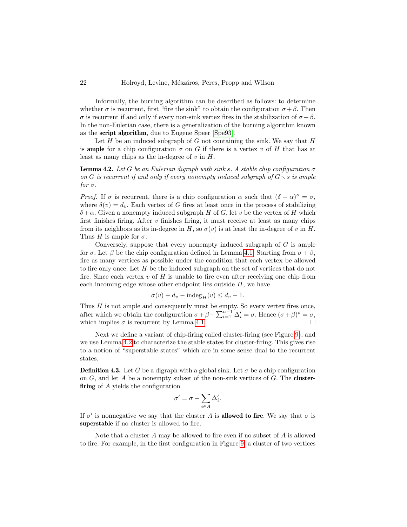Informally, the burning algorithm can be described as follows: to determine whether  $\sigma$  is recurrent, first "fire the sink" to obtain the configuration  $\sigma + \beta$ . Then σ is recurrent if and only if every non-sink vertex fires in the stabilization of  $σ + β$ . In the non-Eulerian case, there is a generalization of the burning algorithm known as the script algorithm, due to Eugene Speer [\[Spe93\]](#page-32-18).

Let  $H$  be an induced subgraph of  $G$  not containing the sink. We say that  $H$ is **ample** for a chip configuration  $\sigma$  on G if there is a vertex v of H that has at least as many chips as the in-degree of  $v$  in  $H$ .

<span id="page-21-1"></span>**Lemma 4.2.** Let G be an Eulerian digraph with sink s. A stable chip configuration  $\sigma$ on G is recurrent if and only if every nonempty induced subgraph of  $G \setminus s$  is ample for  $\sigma$ .

Proof. If  $\sigma$  is recurrent, there is a chip configuration  $\alpha$  such that  $(\delta + \alpha)^{\circ} = \sigma$ , where  $\delta(v) = d_v$ . Each vertex of G fires at least once in the process of stabilizing  $\delta + \alpha$ . Given a nonempty induced subgraph H of G, let v be the vertex of H which first finishes firing. After  $v$  finishes firing, it must receive at least as many chips from its neighbors as its in-degree in H, so  $\sigma(v)$  is at least the in-degree of v in H. Thus H is ample for  $\sigma$ .

Conversely, suppose that every nonempty induced subgraph of  $G$  is ample for  $\sigma$ . Let  $\beta$  be the chip configuration defined in Lemma [4.1.](#page-20-2) Starting from  $\sigma + \beta$ , fire as many vertices as possible under the condition that each vertex be allowed to fire only once. Let  $H$  be the induced subgraph on the set of vertices that do not fire. Since each vertex  $v$  of  $H$  is unable to fire even after receiving one chip from each incoming edge whose other endpoint lies outside  $H$ , we have

$$
\sigma(v) + d_v - \mathrm{indeg}_H(v) \le d_v - 1.
$$

Thus  $H$  is not ample and consequently must be empty. So every vertex fires once, after which we obtain the configuration  $\sigma + \beta - \sum_{i=1}^{n-1} \Delta'_i = \sigma$ . Hence  $(\sigma + \beta)^{\circ} = \sigma$ , which implies  $\sigma$  is recurrent by Lemma [4.1.](#page-20-2)

Next we define a variant of chip-firing called cluster-firing (see Figure [9\)](#page-22-0), and we use Lemma [4.2](#page-21-1) to characterize the stable states for cluster-firing. This gives rise to a notion of "superstable states" which are in some sense dual to the recurrent states.

<span id="page-21-0"></span>**Definition 4.3.** Let G be a digraph with a global sink. Let  $\sigma$  be a chip configuration on  $G$ , and let  $A$  be a nonempty subset of the non-sink vertices of  $G$ . The **cluster**firing of A yields the configuration

$$
\sigma' = \sigma - \sum_{i \in A} \Delta'_i.
$$

If  $\sigma'$  is nonnegative we say that the cluster A is **allowed to fire**. We say that  $\sigma$  is superstable if no cluster is allowed to fire.

Note that a cluster  $A$  may be allowed to fire even if no subset of  $A$  is allowed to fire. For example, in the first configuration in Figure [9,](#page-22-0) a cluster of two vertices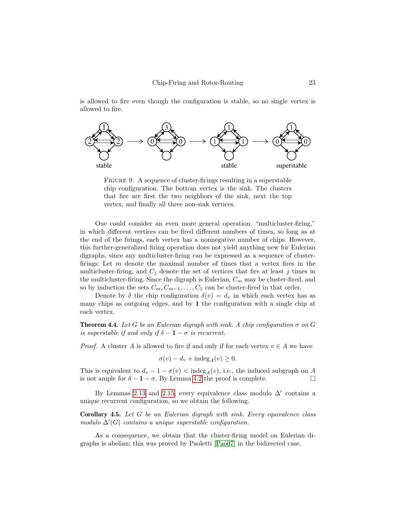is allowed to fire even though the configuration is stable, so no single vertex is allowed to fire.



<span id="page-22-0"></span>FIGURE 9. A sequence of cluster-firings resulting in a superstable chip configuration. The bottom vertex is the sink. The clusters that fire are first the two neighbors of the sink, next the top vertex, and finally all three non-sink vertices.

One could consider an even more general operation, "multicluster-firing," in which different vertices can be fired different numbers of times, so long as at the end of the firings, each vertex has a nonnegative number of chips. However, this further-generalized firing operation does not yield anything new for Eulerian digraphs, since any multicluster-firing can be expressed as a sequence of clusterfirings: Let  $m$  denote the maximal number of times that a vertex fires in the multicluster-firing, and  $C_i$  denote the set of vertices that fire at least j times in the multicluster-firing. Since the digraph is Eulerian,  $C_m$  may be cluster-fired, and so by induction the sets  $C_m, C_{m-1}, \ldots, C_1$  can be cluster-fired in that order.

Denote by  $\delta$  the chip configuration  $\delta(v) = d_v$  in which each vertex has as many chips as outgoing edges, and by 1 the configuration with a single chip at each vertex.

<span id="page-22-1"></span>**Theorem 4.4.** Let G be an Eulerian digraph with sink. A chip configuration  $\sigma$  on G is superstable if and only if  $\delta - 1 - \sigma$  is recurrent.

*Proof.* A cluster A is allowed to fire if and only if for each vertex  $v \in A$  we have

$$
\sigma(v) - d_v + \mathrm{indeg}_A(v) \ge 0.
$$

This is equivalent to  $d_v - 1 - \sigma(v) < \text{indeg}_A(v)$ , i.e., the induced subgraph on A is not ample for  $\delta - 1 - \sigma$ . By Lemma [4.2](#page-21-1) the proof is complete.

By Lemmas [2.13](#page-6-1) and [2.15,](#page-7-1) every equivalence class modulo  $\Delta'$  contains a unique recurrent configuration, so we obtain the following.

<span id="page-22-2"></span>Corollary 4.5. Let G be an Eulerian digraph with sink. Every equivalence class modulo  $\Delta'(G)$  contains a unique superstable configuration.

As a consequence, we obtain that the cluster-firing model on Eulerian digraphs is abelian; this was proved by Paoletti [\[Pao07\]](#page-32-19) in the bidirected case.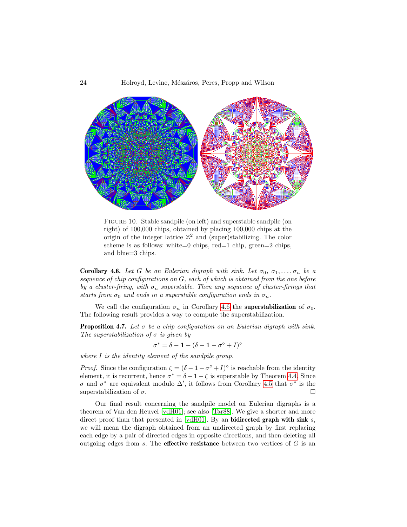

Figure 10. Stable sandpile (on left) and superstable sandpile (on right) of 100,000 chips, obtained by placing 100,000 chips at the origin of the integer lattice  $\mathbb{Z}^2$  and (super)stabilizing. The color scheme is as follows: white=0 chips, red=1 chip, green=2 chips, and blue=3 chips.

<span id="page-23-0"></span>Corollary 4.6. Let G be an Eulerian digraph with sink. Let  $\sigma_0, \sigma_1, \ldots, \sigma_n$  be a sequence of chip configurations on G, each of which is obtained from the one before by a cluster-firing, with  $\sigma_n$  superstable. Then any sequence of cluster-firings that starts from  $\sigma_0$  and ends in a superstable configuration ends in  $\sigma_n$ .

We call the configuration  $\sigma_n$  in Corollary [4.6](#page-23-0) the **superstabilization** of  $\sigma_0$ . The following result provides a way to compute the superstabilization.

**Proposition 4.7.** Let  $\sigma$  be a chip configuration on an Eulerian digraph with sink. The superstabilization of  $\sigma$  is given by

$$
\sigma^* = \delta - 1 - (\delta - 1 - \sigma^{\circ} + I)^{\circ}
$$

where I is the identity element of the sandpile group.

*Proof.* Since the configuration  $\zeta = (\delta - 1 - \sigma^{\circ} + I)^{\circ}$  is reachable from the identity element, it is recurrent, hence  $\sigma^* = \delta - 1 - \zeta$  is superstable by Theorem [4.4.](#page-22-1) Since σ and  $\sigma^*$  are equivalent modulo  $\Delta'$ , it follows from Corollary [4.5](#page-22-2) that  $\sigma^*$  is the superstabilization of  $\sigma$ .

Our final result concerning the sandpile model on Eulerian digraphs is a theorem of Van den Heuvel [\[vdH01\]](#page-33-2); see also [\[Tar88\]](#page-33-3). We give a shorter and more direct proof than that presented in [\[vdH01\]](#page-33-2). By an **bidirected graph with sink** s, we will mean the digraph obtained from an undirected graph by first replacing each edge by a pair of directed edges in opposite directions, and then deleting all outgoing edges from s. The **effective resistance** between two vertices of  $G$  is an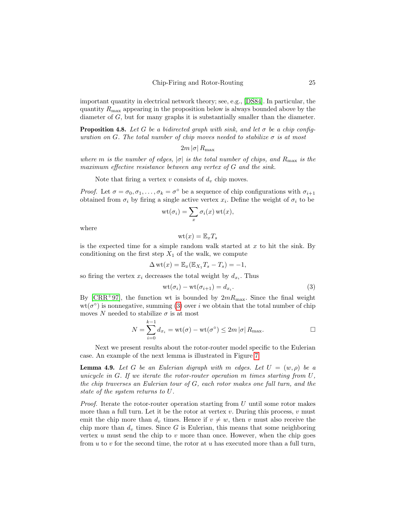important quantity in electrical network theory; see, e.g., [\[DS84\]](#page-31-14). In particular, the quantity  $R_{\text{max}}$  appearing in the proposition below is always bounded above by the diameter of  $G$ , but for many graphs it is substantially smaller than the diameter.

<span id="page-24-0"></span>**Proposition 4.8.** Let G be a bidirected graph with sink, and let  $\sigma$  be a chip configuration on G. The total number of chip moves needed to stabilize  $\sigma$  is at most

$$
2m\left|\sigma\right|R_{\text{max}}
$$

where m is the number of edges,  $|\sigma|$  is the total number of chips, and  $R_{\text{max}}$  is the maximum effective resistance between any vertex of G and the sink.

Note that firing a vertex v consists of  $d_v$  chip moves.

*Proof.* Let  $\sigma = \sigma_0, \sigma_1, \ldots, \sigma_k = \sigma^{\circ}$  be a sequence of chip configurations with  $\sigma_{i+1}$ obtained from  $\sigma_i$  by firing a single active vertex  $x_i$ . Define the weight of  $\sigma_i$  to be

$$
\mathrm{wt}(\sigma_i)=\sum_x \sigma_i(x)\,\mathrm{wt}(x),
$$

where

$$
\mathrm{wt}(x)=\mathbb{E}_x T_s
$$

is the expected time for a simple random walk started at  $x$  to hit the sink. By conditioning on the first step  $X_1$  of the walk, we compute

$$
\Delta \operatorname{wt}(x) = \mathbb{E}_x(\mathbb{E}_{X_1}T_s - T_s) = -1,
$$

so firing the vertex  $x_i$  decreases the total weight by  $d_{x_i}$ . Thus

<span id="page-24-2"></span>
$$
wt(\sigma_i) - wt(\sigma_{i+1}) = d_{x_i}.
$$
\n(3)

By  $\text{[CRR+97]}$  $\text{[CRR+97]}$  $\text{[CRR+97]}$ , the function wt is bounded by  $2mR_{\text{max}}$ . Since the final weight  $wt(\sigma^{\circ})$  is nonnegative, summing [\(3\)](#page-24-2) over i we obtain that the total number of chip moves N needed to stabilize  $\sigma$  is at most

$$
N = \sum_{i=0}^{k-1} d_{x_i} = \text{wt}(\sigma) - \text{wt}(\sigma^{\circ}) \le 2m |\sigma| R_{\text{max}}.
$$

Next we present results about the rotor-router model specific to the Eulerian case. An example of the next lemma is illustrated in Figure [7.](#page-14-0)

<span id="page-24-1"></span>**Lemma 4.9.** Let G be an Eulerian digraph with m edges. Let  $U = (w, \rho)$  be a unicycle in G. If we iterate the rotor-router operation m times starting from  $U$ , the chip traverses an Eulerian tour of G, each rotor makes one full turn, and the state of the system returns to U.

*Proof.* Iterate the rotor-router operation starting from U until some rotor makes more than a full turn. Let it be the rotor at vertex  $v$ . During this process,  $v$  must emit the chip more than  $d_v$  times. Hence if  $v \neq w$ , then v must also receive the chip more than  $d_v$  times. Since G is Eulerian, this means that some neighboring vertex  $u$  must send the chip to  $v$  more than once. However, when the chip goes from u to v for the second time, the rotor at u has executed more than a full turn,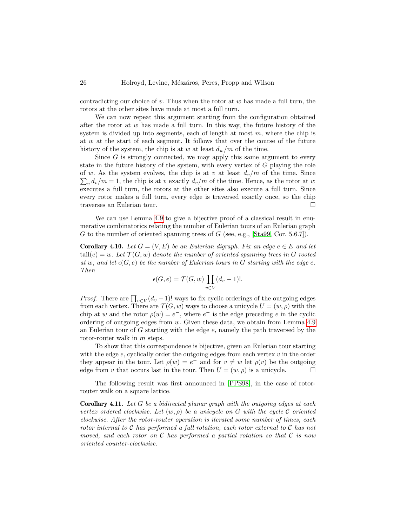contradicting our choice of v. Thus when the rotor at  $w$  has made a full turn, the rotors at the other sites have made at most a full turn.

We can now repeat this argument starting from the configuration obtained after the rotor at  $w$  has made a full turn. In this way, the future history of the system is divided up into segments, each of length at most  $m$ , where the chip is at w at the start of each segment. It follows that over the course of the future history of the system, the chip is at w at least  $d_w/m$  of the time.

Since  $G$  is strongly connected, we may apply this same argument to every state in the future history of the system, with every vertex of G playing the role of w. As the system evolves, the chip is at v at least  $d_v/m$  of the time. Since  $\sum_{v} d_v/m = 1$ , the chip is at v exactly  $d_v/m$  of the time. Hence, as the rotor at w executes a full turn, the rotors at the other sites also execute a full turn. Since every rotor makes a full turn, every edge is traversed exactly once, so the chip traverses an Eulerian tour.

We can use Lemma [4.9](#page-24-1) to give a bijective proof of a classical result in enumerative combinatorics relating the number of Eulerian tours of an Eulerian graph G to the number of oriented spanning trees of  $G$  (see, e.g., [\[Sta99,](#page-33-1) Cor. 5.6.7]).

**Corollary 4.10.** Let  $G = (V, E)$  be an Eulerian digraph. Fix an edge  $e \in E$  and let  $\text{tail}(e) = w$ . Let  $\mathcal{T}(G, w)$  denote the number of oriented spanning trees in G rooted at w, and let  $\epsilon(G, e)$  be the number of Eulerian tours in G starting with the edge e. Then

$$
\epsilon(G, e) = \mathcal{T}(G, w) \prod_{v \in V} (d_v - 1)!.
$$

*Proof.* There are  $\prod_{v \in V} (d_v - 1)!$  ways to fix cyclic orderings of the outgoing edges from each vertex. There are  $\mathcal{T}(G, w)$  ways to choose a unicycle  $U = (w, \rho)$  with the chip at w and the rotor  $\rho(w) = e^-$ , where  $e^-$  is the edge preceding e in the cyclic ordering of outgoing edges from  $w$ . Given these data, we obtain from Lemma [4.9](#page-24-1) an Eulerian tour of  $G$  starting with the edge  $e$ , namely the path traversed by the rotor-router walk in m steps.

To show that this correspondence is bijective, given an Eulerian tour starting with the edge  $e$ , cyclically order the outgoing edges from each vertex  $v$  in the order they appear in the tour. Let  $\rho(w) = e^-$  and for  $v \neq w$  let  $\rho(v)$  be the outgoing edge from v that occurs last in the tour. Then  $U = (w, \rho)$  is a unicycle.

The following result was first announced in [\[PPS98\]](#page-32-20), in the case of rotorrouter walk on a square lattice.

<span id="page-25-0"></span>**Corollary 4.11.** Let  $G$  be a bidirected planar graph with the outgoing edges at each vertex ordered clockwise. Let  $(w, \rho)$  be a unicycle on G with the cycle C oriented clockwise. After the rotor-router operation is iterated some number of times, each rotor internal to  $C$  has performed a full rotation, each rotor external to  $C$  has not moved, and each rotor on  $\mathcal C$  has performed a partial rotation so that  $\mathcal C$  is now oriented counter-clockwise.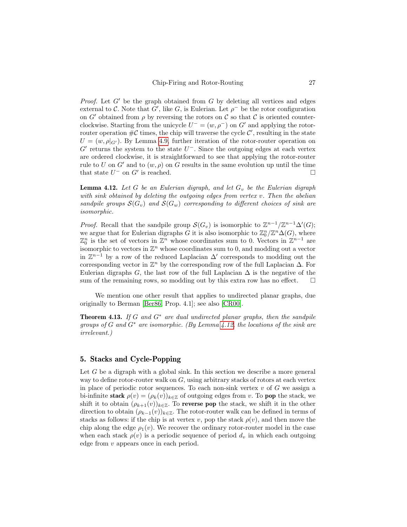*Proof.* Let G' be the graph obtained from G by deleting all vertices and edges external to C. Note that G', like G, is Eulerian. Let  $\rho^-$  be the rotor configuration on G' obtained from  $\rho$  by reversing the rotors on C so that C is oriented counterclockwise. Starting from the unicycle  $U^- = (w, \rho^-)$  on G' and applying the rotorrouter operation  $\#\mathcal{C}$  times, the chip will traverse the cycle  $\mathcal{C}'$ , resulting in the state  $U = (w, \rho|_{G})$ . By Lemma [4.9,](#page-24-1) further iteration of the rotor-router operation on  $G'$  returns the system to the state  $U^-$ . Since the outgoing edges at each vertex are ordered clockwise, it is straightforward to see that applying the rotor-router rule to U on G' and to  $(w, \rho)$  on G results in the same evolution up until the time that state  $U^-$  on  $G'$  is reached.

<span id="page-26-1"></span>**Lemma 4.12.** Let G be an Eulerian digraph, and let  $G_v$  be the Eulerian digraph with sink obtained by deleting the outgoing edges from vertex  $v$ . Then the abelian sandpile groups  $\mathcal{S}(G_v)$  and  $\mathcal{S}(G_w)$  corresponding to different choices of sink are isomorphic.

*Proof.* Recall that the sandpile group  $\mathcal{S}(G_v)$  is isomorphic to  $\mathbb{Z}^{n-1}/\mathbb{Z}^{n-1}\Delta'(G)$ ; we argue that for Eulerian digraphs G it is also isomorphic to  $\mathbb{Z}_0^n/\mathbb{Z}^n\Delta(G)$ , where  $\mathbb{Z}_0^n$  is the set of vectors in  $\mathbb{Z}^n$  whose coordinates sum to 0. Vectors in  $\mathbb{Z}^{n-1}$  are isomorphic to vectors in  $\mathbb{Z}^n$  whose coordinates sum to 0, and modding out a vector in  $\mathbb{Z}^{n-1}$  by a row of the reduced Laplacian  $\Delta'$  corresponds to modding out the corresponding vector in  $\mathbb{Z}^n$  by the corresponding row of the full Laplacian  $\Delta$ . For Eulerian digraphs G, the last row of the full Laplacian  $\Delta$  is the negative of the sum of the remaining rows, so modding out by this extra row has no effect.  $\square$ 

We mention one other result that applies to undirected planar graphs, due originally to Berman [\[Ber86,](#page-31-16) Prop. 4.1]; see also [\[CR00\]](#page-31-17).

**Theorem 4.13.** If G and  $G^*$  are dual undirected planar graphs, then the sandpile groups of G and  $G^*$  are isomorphic. (By Lemma [4.12,](#page-26-1) the locations of the sink are irrelevant.)

## <span id="page-26-0"></span>5. Stacks and Cycle-Popping

Let  $G$  be a digraph with a global sink. In this section we describe a more general way to define rotor-router walk on  $G$ , using arbitrary stacks of rotors at each vertex in place of periodic rotor sequences. To each non-sink vertex  $v$  of  $G$  we assign a bi-infinite stack  $\rho(v) = (\rho_k(v))_{k \in \mathbb{Z}}$  of outgoing edges from v. To pop the stack, we shift it to obtain  $(\rho_{k+1}(v))_{k\in\mathbb{Z}}$ . To reverse pop the stack, we shift it in the other direction to obtain  $(\rho_{k-1}(v))_{k\in\mathbb{Z}}$ . The rotor-router walk can be defined in terms of stacks as follows: if the chip is at vertex v, pop the stack  $\rho(v)$ , and then move the chip along the edge  $\rho_1(v)$ . We recover the ordinary rotor-router model in the case when each stack  $\rho(v)$  is a periodic sequence of period  $d_v$  in which each outgoing edge from v appears once in each period.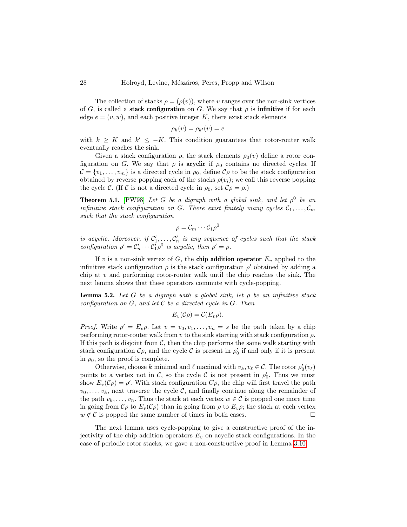The collection of stacks  $\rho = (\rho(v))$ , where v ranges over the non-sink vertices of G, is called a **stack configuration** on G. We say that  $\rho$  is **infinitive** if for each edge  $e = (v, w)$ , and each positive integer K, there exist stack elements

$$
\rho_k(v) = \rho_{k'}(v) = e
$$

with  $k \geq K$  and  $k' \leq -K$ . This condition guarantees that rotor-router walk eventually reaches the sink.

Given a stack configuration  $\rho$ , the stack elements  $\rho_0(v)$  define a rotor configuration on G. We say that  $\rho$  is **acyclic** if  $\rho_0$  contains no directed cycles. If  $\mathcal{C} = \{v_1, \ldots, v_m\}$  is a directed cycle in  $\rho_0$ , define  $\mathcal{C}\rho$  to be the stack configuration obtained by reverse popping each of the stacks  $\rho(v_i)$ ; we call this reverse popping the cycle C. (If C is not a directed cycle in  $\rho_0$ , set  $\mathcal{C}_{\rho} = \rho$ .)

<span id="page-27-0"></span>**Theorem 5.1.** [\[PW98\]](#page-32-12) Let G be a digraph with a global sink, and let  $\rho^0$  be an infinitive stack configuration on G. There exist finitely many cycles  $C_1, \ldots, C_m$ such that the stack configuration

$$
\rho = \mathcal{C}_m \cdots \mathcal{C}_1 \rho^0
$$

is acyclic. Moreover, if  $C'_1, \ldots, C'_n$  is any sequence of cycles such that the stack configuration  $\rho' = C'_n \cdots C'_1 \rho^0$  is acyclic, then  $\rho' = \rho$ .

If v is a non-sink vertex of G, the chip addition operator  $E_v$  applied to the infinitive stack configuration  $\rho$  is the stack configuration  $\rho'$  obtained by adding a chip at  $v$  and performing rotor-router walk until the chip reaches the sink. The next lemma shows that these operators commute with cycle-popping.

<span id="page-27-1"></span>**Lemma 5.2.** Let G be a digraph with a global sink, let  $\rho$  be an infinitive stack configuration on  $G$ , and let  $C$  be a directed cycle in  $G$ . Then

$$
E_v(\mathcal{C}\rho) = \mathcal{C}(E_v\rho).
$$

*Proof.* Write  $\rho' = E_v \rho$ . Let  $v = v_0, v_1, \ldots, v_n = s$  be the path taken by a chip performing rotor-router walk from v to the sink starting with stack configuration  $\rho$ . If this path is disjoint from  $C$ , then the chip performs the same walk starting with stack configuration  $\mathcal{C}_{\rho}$ , and the cycle  $\mathcal C$  is present in  $\rho'_0$  if and only if it is present in  $\rho_0$ , so the proof is complete.

Otherwise, choose k minimal and  $\ell$  maximal with  $v_k, v_\ell \in \mathcal{C}$ . The rotor  $\rho'_0(v_\ell)$ points to a vertex not in C, so the cycle C is not present in  $\rho'_0$ . Thus we must show  $E_v(\mathcal{C}\rho) = \rho'$ . With stack configuration  $C\rho$ , the chip will first travel the path  $v_0, \ldots, v_k$ , next traverse the cycle C, and finally continue along the remainder of the path  $v_k, \ldots, v_n$ . Thus the stack at each vertex  $w \in \mathcal{C}$  is popped one more time in going from  $\mathcal{C}_{\rho}$  to  $E_{\nu}(\mathcal{C}_{\rho})$  than in going from  $\rho$  to  $E_{\nu}\rho$ ; the stack at each vertex  $w \notin \mathcal{C}$  is popped the same number of times in both cases.

The next lemma uses cycle-popping to give a constructive proof of the injectivity of the chip addition operators  $E<sub>v</sub>$  on acyclic stack configurations. In the case of periodic rotor stacks, we gave a non-constructive proof in Lemma [3.10.](#page-15-1)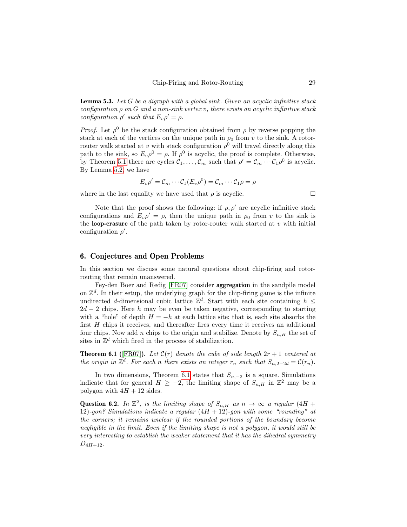**Lemma 5.3.** Let  $G$  be a digraph with a global sink. Given an acyclic infinitive stack configuration  $\rho$  on  $G$  and a non-sink vertex v, there exists an acyclic infinitive stack configuration  $\rho'$  such that  $E_v \rho' = \rho$ .

*Proof.* Let  $\rho^0$  be the stack configuration obtained from  $\rho$  by reverse popping the stack at each of the vertices on the unique path in  $\rho_0$  from v to the sink. A rotorrouter walk started at v with stack configuration  $\rho^0$  will travel directly along this path to the sink, so  $E_v \rho^0 = \rho$ . If  $\rho^0$  is acyclic, the proof is complete. Otherwise, by Theorem [5.1](#page-27-0) there are cycles  $C_1, \ldots, C_m$  such that  $\rho' = C_m \cdots C_1 \rho^0$  is acyclic. By Lemma [5.2,](#page-27-1) we have

$$
E_v \rho' = \mathcal{C}_m \cdots \mathcal{C}_1 (E_v \rho^0) = \mathcal{C}_m \cdots \mathcal{C}_1 \rho = \rho
$$

where in the last equality we have used that  $\rho$  is acyclic.  $\Box$ 

Note that the proof shows the following: if  $\rho$ ,  $\rho'$  are acyclic infinitive stack configurations and  $E_v \rho' = \rho$ , then the unique path in  $\rho_0$  from v to the sink is the **loop-erasure** of the path taken by rotor-router walk started at  $v$  with initial configuration  $\rho'$ .

## <span id="page-28-0"></span>6. Conjectures and Open Problems

In this section we discuss some natural questions about chip-firing and rotorrouting that remain unanswered.

Fey-den Boer and Redig [\[FR07\]](#page-31-18) consider aggregation in the sandpile model on  $\mathbb{Z}^d$ . In their setup, the underlying graph for the chip-firing game is the infinite undirected d-dimensional cubic lattice  $\mathbb{Z}^d$ . Start with each site containing  $h \leq$  $2d-2$  chips. Here h may be even be taken negative, corresponding to starting with a "hole" of depth  $H = -h$  at each lattice site; that is, each site absorbs the first H chips it receives, and thereafter fires every time it receives an additional four chips. Now add n chips to the origin and stabilize. Denote by  $S_{n,H}$  the set of sites in  $\mathbb{Z}^d$  which fired in the process of stabilization.

<span id="page-28-1"></span>**Theorem 6.1** ([\[FR07\]](#page-31-18)). Let  $C(r)$  denote the cube of side length  $2r + 1$  centered at the origin in  $\mathbb{Z}^d$ . For each n there exists an integer  $r_n$  such that  $S_{n,2-2d} = \mathcal{C}(r_n)$ .

In two dimensions, Theorem [6.1](#page-28-1) states that  $S_{n,-2}$  is a square. Simulations indicate that for general  $H \ge -2$ , the limiting shape of  $S_{n,H}$  in  $\mathbb{Z}^2$  may be a polygon with  $4H + 12$  sides.

<span id="page-28-2"></span>Question 6.2. In  $\mathbb{Z}^2$ , is the limiting shape of  $S_{n,H}$  as  $n \to \infty$  a regular  $(4H +$ 12)-gon? Simulations indicate a regular  $(4H + 12)$ -gon with some "rounding" at the corners; it remains unclear if the rounded portions of the boundary become negligible in the limit. Even if the limiting shape is not a polygon, it would still be very interesting to establish the weaker statement that it has the dihedral symmetry  $D_{4H+12}$ .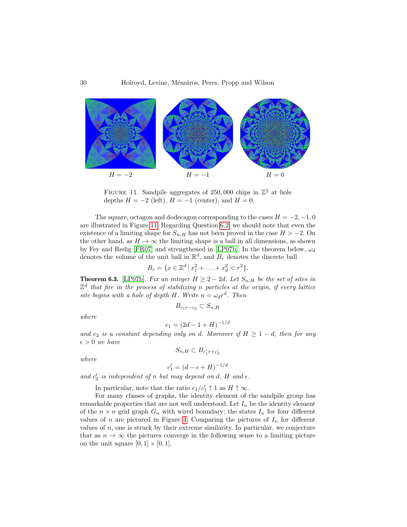

<span id="page-29-0"></span>FIGURE 11. Sandpile aggregates of 250,000 chips in  $\mathbb{Z}^2$  at hole depths  $H = -2$  (left),  $H = -1$  (center), and  $H = 0$ .

The square, octagon and dodecagon corresponding to the cases  $H = -2, -1, 0$ are illustrated in Figure [11.](#page-29-0) Regarding Question [6.2,](#page-28-2) we should note that even the existence of a limiting shape for  $S_{n,H}$  has not been proved in the case  $H > -2$ . On the other hand, as  $H \to \infty$  the limiting shape is a ball in all dimensions, as shown by Fey and Redig [\[FR07\]](#page-31-18) and strengthened in [\[LP07b\]](#page-32-11). In the theorem below,  $\omega_d$ denotes the volume of the unit ball in  $\mathbb{R}^d$ , and  $B_r$  denotes the discrete ball

$$
B_r = \{ x \in \mathbb{Z}^d \, | \, x_1^2 + \ldots + x_d^2 < r^2 \}.
$$

**Theorem 6.3.** [\[LP07b\]](#page-32-11). Fix an integer  $H \geq 2 - 2d$ . Let  $S_{n,H}$  be the set of sites in  $\mathbb{Z}^d$  that fire in the process of stabilizing n particles at the origin, if every lattice site begins with a hole of depth H. Write  $n = \omega_d r^d$ . Then

 $B_{c_1r-c_2} \subset S_{n,H}$ 

where

$$
c_1 = (2d - 1 + H)^{-1/d}
$$

and  $c_2$  is a constant depending only on d. Moreover if  $H \geq 1 - d$ , then for any  $\epsilon > 0$  we have  $S_{n,H} \subset B_{c_1' r + c_2'}$ 

where

$$
c_1' = (d - \epsilon + H)^{-1/d}
$$

and  $c'_2$  is independent of n but may depend on d, H and  $\epsilon$ .

In particular, note that the ratio  $c_1/c'_1 \uparrow 1$  as  $H \uparrow \infty$ .

For many classes of graphs, the identity element of the sandpile group has remarkable properties that are not well understood. Let  $I_n$  be the identity element of the  $n \times n$  grid graph  $G_n$  with wired boundary; the states  $I_n$  for four different values of n are pictured in Figure [4.](#page-8-0) Comparing the pictures of  $I_n$  for different values of  $n$ , one is struck by their extreme similarity. In particular, we conjecture that as  $n \to \infty$  the pictures converge in the following sense to a limiting picture on the unit square  $[0, 1] \times [0, 1]$ .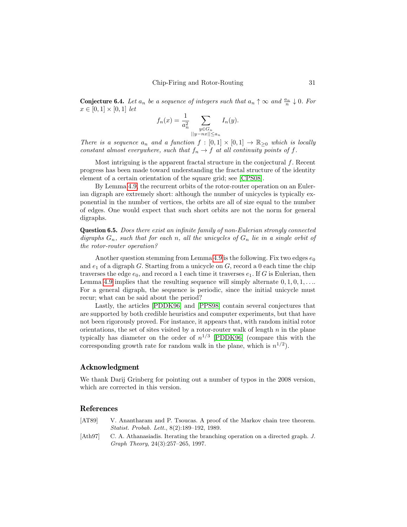**Conjecture 6.4.** Let  $a_n$  be a sequence of integers such that  $a_n \uparrow \infty$  and  $\frac{a_n}{n} \downarrow 0$ . For  $x \in [0, 1] \times [0, 1]$  let

$$
f_n(x) = \frac{1}{a_n^2} \sum_{\substack{y \in G_n \\ ||y - nx|| \le a_n}} I_n(y).
$$

There is a sequence  $a_n$  and a function  $f : [0,1] \times [0,1] \rightarrow \mathbb{R}_{\geq 0}$  which is locally constant almost everywhere, such that  $f_n \to f$  at all continuity points of f.

Most intriguing is the apparent fractal structure in the conjectural  $f$ . Recent progress has been made toward understanding the fractal structure of the identity element of a certain orientation of the square grid; see [\[CPS08\]](#page-31-19).

By Lemma [4.9,](#page-24-1) the recurrent orbits of the rotor-router operation on an Eulerian digraph are extremely short: although the number of unicycles is typically exponential in the number of vertices, the orbits are all of size equal to the number of edges. One would expect that such short orbits are not the norm for general digraphs.

Question 6.5. Does there exist an infinite family of non-Eulerian strongly connected digraphs  $G_n$ , such that for each n, all the unicycles of  $G_n$  lie in a single orbit of the rotor-router operation?

Another question stemming from Lemma [4.9](#page-24-1) is the following. Fix two edges  $e_0$ and  $e_1$  of a digraph G. Starting from a unicycle on G, record a 0 each time the chip traverses the edge  $e_0$ , and record a 1 each time it traverses  $e_1$ . If G is Eulerian, then Lemma [4.9](#page-24-1) implies that the resulting sequence will simply alternate  $0, 1, 0, 1, \ldots$ For a general digraph, the sequence is periodic, since the initial unicycle must recur; what can be said about the period?

Lastly, the articles [\[PDDK96\]](#page-32-3) and [\[PPS98\]](#page-32-20) contain several conjectures that are supported by both credible heuristics and computer experiments, but that have not been rigorously proved. For instance, it appears that, with random initial rotor orientations, the set of sites visited by a rotor-router walk of length  $n$  in the plane typically has diameter on the order of  $n^{1/3}$  [\[PDDK96\]](#page-32-3) (compare this with the corresponding growth rate for random walk in the plane, which is  $n^{1/2}$ .

#### Acknowledgment

We thank Darij Grinberg for pointing out a number of typos in the 2008 version, which are corrected in this version.

#### References

- <span id="page-30-1"></span>[AT89] V. Anantharam and P. Tsoucas. A proof of the Markov chain tree theorem. Statist. Probab. Lett., 8(2):189–192, 1989.
- <span id="page-30-0"></span>[Ath97] C. A. Athanasiadis. Iterating the branching operation on a directed graph. J. Graph Theory, 24(3):257–265, 1997.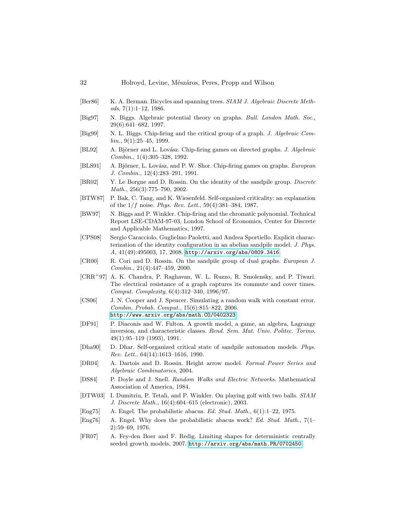- <span id="page-31-16"></span>[Ber86] K. A. Berman. Bicycles and spanning trees. SIAM J. Algebraic Discrete Meth $ods, 7(1):1-12, 1986.$
- <span id="page-31-7"></span>[Big97] N. Biggs. Algebraic potential theory on graphs. Bull. London Math. Soc., 29(6):641–682, 1997.
- <span id="page-31-6"></span>[Big99] N. L. Biggs. Chip-firing and the critical group of a graph. J. Algebraic Com $bin., 9(1):25-45, 1999.$
- <span id="page-31-9"></span>[BL92] A. Björner and L. Lovász. Chip-firing games on directed graphs. J. Algebraic Combin., 1(4):305–328, 1992.
- <span id="page-31-8"></span>[BLS91] A. Björner, L. Lovász, and P. W. Shor. Chip-firing games on graphs. European J. Combin., 12(4):283–291, 1991.
- <span id="page-31-12"></span>[BR02] Y. Le Borgne and D. Rossin. On the identity of the sandpile group. Discrete Math., 256(3):775–790, 2002.
- <span id="page-31-1"></span>[BTW87] P. Bak, C. Tang, and K. Wiesenfeld. Self-organized criticality: an explanation of the  $1/f$  noise. Phys. Rev. Lett.,  $59(4):381-384$ , 1987.
- <span id="page-31-11"></span>[BW97] N. Biggs and P. Winkler. Chip-firing and the chromatic polynomial. Technical Report LSE-CDAM-97-03, London School of Economics, Center for Discrete and Applicable Mathematics, 1997.
- <span id="page-31-19"></span>[CPS08] Sergio Caracciolo, Guglielmo Paoletti, and Andrea Sportiello. Explicit characterization of the identity configuration in an abelian sandpile model. J. Phys. A, 41(49):495003, 17, 2008. <http://arxiv.org/abs/0809.3416>.
- <span id="page-31-17"></span>[CR00] R. Cori and D. Rossin. On the sandpile group of dual graphs. European J. Combin., 21(4):447–459, 2000.
- <span id="page-31-15"></span>[CRR<sup>+</sup>97] A. K. Chandra, P. Raghavan, W. L. Ruzzo, R. Smolensky, and P. Tiwari. The electrical resistance of a graph captures its commute and cover times. Comput. Complexity, 6(4):312–340, 1996/97.
- <span id="page-31-13"></span>[CS06] J. N. Cooper and J. Spencer. Simulating a random walk with constant error. Combin. Probab. Comput., 15(6):815–822, 2006. <http://www.arxiv.org/abs/math.CO/0402323>.
- <span id="page-31-4"></span>[DF91] P. Diaconis and W. Fulton. A growth model, a game, an algebra, Lagrange inversion, and characteristic classes. Rend. Sem. Mat. Univ. Politec. Torino, 49(1):95–119 (1993), 1991.
- <span id="page-31-0"></span>[Dha90] D. Dhar. Self-organized critical state of sandpile automaton models. Phys. Rev. Lett., 64(14):1613–1616, 1990.
- <span id="page-31-10"></span>[DR04] A. Dartois and D. Rossin. Height arrow model. Formal Power Series and Algebraic Combinatorics, 2004.
- <span id="page-31-14"></span>[DS84] P. Doyle and J. Snell. Random Walks and Electric Networks. Mathematical Association of America, 1984.
- <span id="page-31-5"></span>[DTW03] I. Dumitriu, P. Tetali, and P. Winkler. On playing golf with two balls. SIAM J. Discrete Math., 16(4):604–615 (electronic), 2003.
- <span id="page-31-2"></span>[Eng75] A. Engel. The probabilistic abacus. Ed. Stud. Math., 6(1):1–22, 1975.
- <span id="page-31-3"></span>[Eng76] A. Engel. Why does the probabilistic abacus work? Ed. Stud. Math., 7(1– 2):59–69, 1976.
- <span id="page-31-18"></span>[FR07] A. Fey-den Boer and F. Redig. Limiting shapes for deterministic centrally seeded growth models, 2007. <http://arxiv.org/abs/math.PR/0702450>.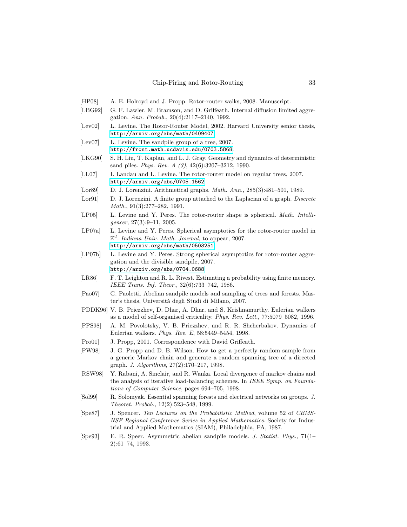- <span id="page-32-9"></span>[HP08] A. E. Holroyd and J. Propp. Rotor-router walks, 2008. Manuscript.
- <span id="page-32-6"></span>[LBG92] G. F. Lawler, M. Bramson, and D. Griffeath. Internal diffusion limited aggregation. Ann. Probab., 20(4):2117–2140, 1992.
- <span id="page-32-7"></span>[Lev02] L. Levine. The Rotor-Router Model, 2002. Harvard University senior thesis, <http://arxiv.org/abs/math/0409407>.
- <span id="page-32-13"></span>[Lev07] L. Levine. The sandpile group of a tree, 2007. <http://front.math.ucdavis.edu/0703.5868>.
- <span id="page-32-14"></span>[LKG90] S. H. Liu, T. Kaplan, and L. J. Gray. Geometry and dynamics of deterministic sand piles. Phys. Rev. A (3), 42(6):3207–3212, 1990.
- <span id="page-32-16"></span>[LL07] I. Landau and L. Levine. The rotor-router model on regular trees, 2007. <http://arxiv.org/abs/0705.1562>.
- <span id="page-32-1"></span>[Lor89] D. J. Lorenzini. Arithmetical graphs. Math. Ann., 285(3):481-501, 1989.
- <span id="page-32-2"></span>[Lor91] D. J. Lorenzini. A finite group attached to the Laplacian of a graph. Discrete Math., 91(3):277–282, 1991.
- <span id="page-32-8"></span>[LP05] L. Levine and Y. Peres. The rotor-router shape is spherical. Math. Intelligencer, 27(3):9–11, 2005.
- <span id="page-32-10"></span>[LP07a] L. Levine and Y. Peres. Spherical asymptotics for the rotor-router model in  $\mathbb{Z}^d$ . Indiana Univ. Math. Journal, to appear, 2007. <http://arxiv.org/abs/math/0503251>.
- <span id="page-32-11"></span>[LP07b] L. Levine and Y. Peres. Strong spherical asymptotics for rotor-router aggregation and the divisible sandpile, 2007. <http://arxiv.org/abs/0704.0688>.
- <span id="page-32-17"></span>[LR86] F. T. Leighton and R. L. Rivest. Estimating a probability using finite memory. IEEE Trans. Inf. Theor., 32(6):733–742, 1986.
- <span id="page-32-19"></span>[Pao07] G. Paoletti. Abelian sandpile models and sampling of trees and forests. Master's thesis, Universit`a degli Studi di Milano, 2007.
- <span id="page-32-3"></span>[PDDK96] V. B. Priezzhev, D. Dhar, A. Dhar, and S. Krishnamurthy. Eulerian walkers as a model of self-organised criticality. Phys. Rev. Lett., 77:5079–5082, 1996.
- <span id="page-32-20"></span>[PPS98] A. M. Povolotsky, V. B. Priezzhev, and R. R. Shcherbakov. Dynamics of Eulerian walkers. Phys. Rev. E, 58:5449–5454, 1998.
- <span id="page-32-5"></span>[Pro01] J. Propp, 2001. Correspondence with David Griffeath.
- <span id="page-32-12"></span>[PW98] J. G. Propp and D. B. Wilson. How to get a perfectly random sample from a generic Markov chain and generate a random spanning tree of a directed graph. J. Algorithms, 27(2):170–217, 1998.
- <span id="page-32-4"></span>[RSW98] Y. Rabani, A. Sinclair, and R. Wanka. Local divergence of markov chains and the analysis of iterative load-balancing schemes. In IEEE Symp. on Foundations of Computer Science, pages 694–705, 1998.
- <span id="page-32-15"></span>[Sol99] R. Solomyak. Essential spanning forests and electrical networks on groups. J. Theoret. Probab., 12(2):523–548, 1999.
- <span id="page-32-0"></span>[Spe87] J. Spencer. Ten Lectures on the Probabilistic Method, volume 52 of CBMS-NSF Regional Conference Series in Applied Mathematics. Society for Industrial and Applied Mathematics (SIAM), Philadelphia, PA, 1987.
- <span id="page-32-18"></span>[Spe93] E. R. Speer. Asymmetric abelian sandpile models. J. Statist. Phys., 71(1– 2):61–74, 1993.